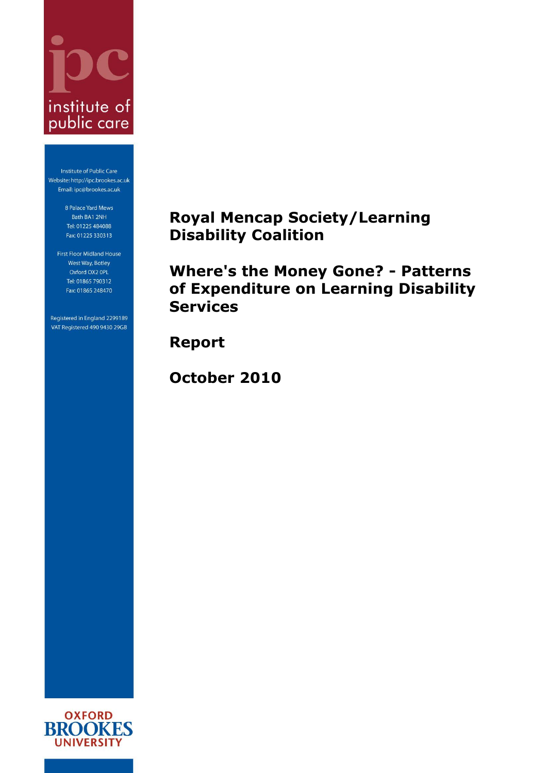

Institute of Public Care Website: http://ipc.brookes.ac.uk Email: ipc@brookes.ac.uk

> 8 Palace Yard Mews Bath BA1 2NH Tel: 01225 484088 Fax: 01225 330313

First Floor Midland House West Way, Botley Oxford OX2 OPL Tel: 01865 790312 Fax: 01865 248470

Registered in England 2299189 VAT Registered 490 9430 29GB

# <span id="page-0-0"></span>**Royal Mencap Society/Learning Disability Coalition**

<span id="page-0-1"></span>**Where's the Money Gone? - Patterns of Expenditure on Learning Disability Services**

**Report**

**October 2010**

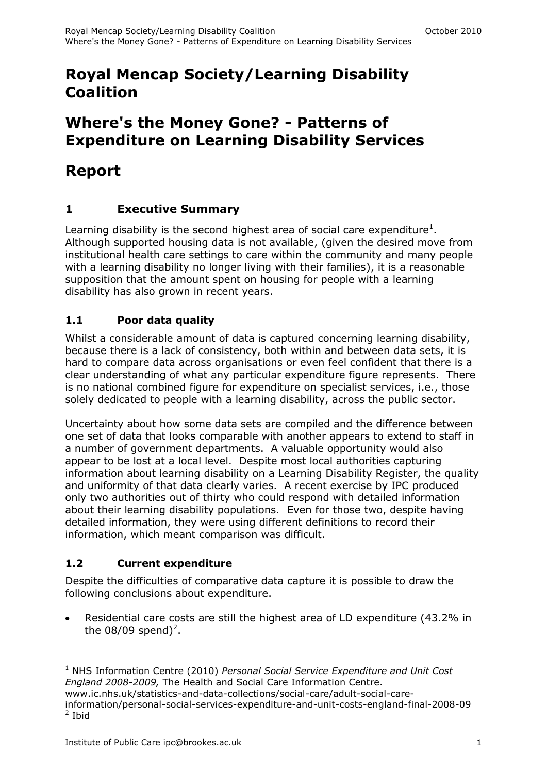# **Royal Mencap [Society/Learning Disability](#page-0-0)  [Coalition](#page-0-0)**

# **[Where's the Money Gone?](#page-0-1) - Patterns of [Expenditure on Learning Disability Services](#page-0-1)**

# **Report**

## **1 Executive Summary**

Learning disability is the second highest area of social care expenditure<sup>1</sup>. Although supported housing data is not available, (given the desired move from institutional health care settings to care within the community and many people with a learning disability no longer living with their families), it is a reasonable supposition that the amount spent on housing for people with a learning disability has also grown in recent years.

### **1.1 Poor data quality**

Whilst a considerable amount of data is captured concerning learning disability, because there is a lack of consistency, both within and between data sets, it is hard to compare data across organisations or even feel confident that there is a clear understanding of what any particular expenditure figure represents. There is no national combined figure for expenditure on specialist services, i.e., those solely dedicated to people with a learning disability, across the public sector.

Uncertainty about how some data sets are compiled and the difference between one set of data that looks comparable with another appears to extend to staff in a number of government departments. A valuable opportunity would also appear to be lost at a local level. Despite most local authorities capturing information about learning disability on a Learning Disability Register, the quality and uniformity of that data clearly varies. A recent exercise by IPC produced only two authorities out of thirty who could respond with detailed information about their learning disability populations. Even for those two, despite having detailed information, they were using different definitions to record their information, which meant comparison was difficult.

## **1.2 Current expenditure**

Despite the difficulties of comparative data capture it is possible to draw the following conclusions about expenditure.

Residential care costs are still the highest area of LD expenditure (43.2% in the  $08/09$  spend)<sup>2</sup>.

www.ic.nhs.uk/statistics-and-data-collections/social-care/adult-social-careinformation/personal-social-services-expenditure-and-unit-costs-england-final-2008-09 <sup>2</sup> Ibid

<sup>-</sup><sup>1</sup> NHS Information Centre (2010) *Personal Social Service Expenditure and Unit Cost England 2008-2009,* The Health and Social Care Information Centre.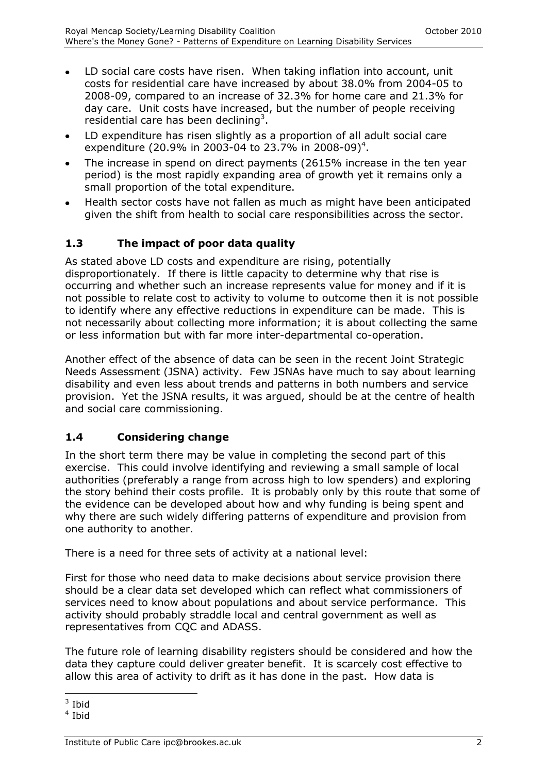- LD social care costs have risen. When taking inflation into account, unit costs for residential care have increased by about 38.0% from 2004-05 to 2008-09, compared to an increase of 32.3% for home care and 21.3% for day care. Unit costs have increased, but the number of people receiving residential care has been declining<sup>3</sup>.
- LD expenditure has risen slightly as a proportion of all adult social care  $\bullet$ expenditure (20.9% in 2003-04 to 23.7% in 2008-09)<sup>4</sup>.
- The increase in spend on direct payments (2615% increase in the ten year  $\bullet$ period) is the most rapidly expanding area of growth yet it remains only a small proportion of the total expenditure.
- Health sector costs have not fallen as much as might have been anticipated given the shift from health to social care responsibilities across the sector.

#### **1.3 The impact of poor data quality**

As stated above LD costs and expenditure are rising, potentially disproportionately. If there is little capacity to determine why that rise is occurring and whether such an increase represents value for money and if it is not possible to relate cost to activity to volume to outcome then it is not possible to identify where any effective reductions in expenditure can be made. This is not necessarily about collecting more information; it is about collecting the same or less information but with far more inter-departmental co-operation.

Another effect of the absence of data can be seen in the recent Joint Strategic Needs Assessment (JSNA) activity. Few JSNAs have much to say about learning disability and even less about trends and patterns in both numbers and service provision. Yet the JSNA results, it was argued, should be at the centre of health and social care commissioning.

#### **1.4 Considering change**

In the short term there may be value in completing the second part of this exercise. This could involve identifying and reviewing a small sample of local authorities (preferably a range from across high to low spenders) and exploring the story behind their costs profile. It is probably only by this route that some of the evidence can be developed about how and why funding is being spent and why there are such widely differing patterns of expenditure and provision from one authority to another.

There is a need for three sets of activity at a national level:

First for those who need data to make decisions about service provision there should be a clear data set developed which can reflect what commissioners of services need to know about populations and about service performance. This activity should probably straddle local and central government as well as representatives from CQC and ADASS.

The future role of learning disability registers should be considered and how the data they capture could deliver greater benefit. It is scarcely cost effective to allow this area of activity to drift as it has done in the past. How data is

<sup>-</sup> $3$  Ibid

<sup>4</sup> Ibid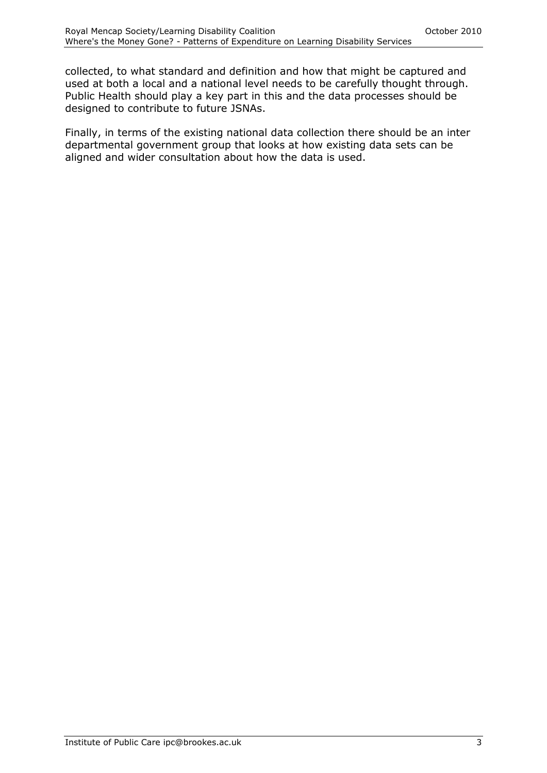collected, to what standard and definition and how that might be captured and used at both a local and a national level needs to be carefully thought through. Public Health should play a key part in this and the data processes should be designed to contribute to future JSNAs.

Finally, in terms of the existing national data collection there should be an inter departmental government group that looks at how existing data sets can be aligned and wider consultation about how the data is used.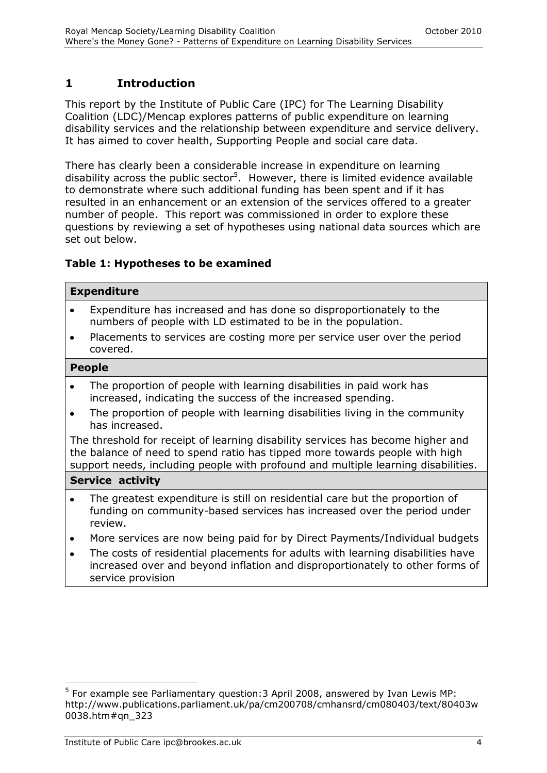## **1 Introduction**

This report by the Institute of Public Care (IPC) for The Learning Disability Coalition (LDC)/Mencap explores patterns of public expenditure on learning disability services and the relationship between expenditure and service delivery. It has aimed to cover health, Supporting People and social care data.

There has clearly been a considerable increase in expenditure on learning disability across the public sector<sup>5</sup>. However, there is limited evidence available to demonstrate where such additional funding has been spent and if it has resulted in an enhancement or an extension of the services offered to a greater number of people. This report was commissioned in order to explore these questions by reviewing a set of hypotheses using national data sources which are set out below.

#### **Table 1: Hypotheses to be examined**

|           | <b>Expenditure</b>                                                                                                                                                                                                                                  |
|-----------|-----------------------------------------------------------------------------------------------------------------------------------------------------------------------------------------------------------------------------------------------------|
| $\bullet$ | Expenditure has increased and has done so disproportionately to the<br>numbers of people with LD estimated to be in the population.                                                                                                                 |
| $\bullet$ | Placements to services are costing more per service user over the period<br>covered.                                                                                                                                                                |
|           | <b>People</b>                                                                                                                                                                                                                                       |
| $\bullet$ | The proportion of people with learning disabilities in paid work has<br>increased, indicating the success of the increased spending.                                                                                                                |
| $\bullet$ | The proportion of people with learning disabilities living in the community<br>has increased.                                                                                                                                                       |
|           | The threshold for receipt of learning disability services has become higher and<br>the balance of need to spend ratio has tipped more towards people with high<br>support needs, including people with profound and multiple learning disabilities. |
|           | <b>Service activity</b>                                                                                                                                                                                                                             |
| $\bullet$ | The greatest expenditure is still on residential care but the proportion of<br>funding on community-based services has increased over the period under<br>review.                                                                                   |
| $\bullet$ | More services are now being paid for by Direct Payments/Individual budgets                                                                                                                                                                          |
| $\bullet$ | The costs of residential placements for adults with learning disabilities have                                                                                                                                                                      |

increased over and beyond inflation and disproportionately to other forms of service provision

-

<sup>&</sup>lt;sup>5</sup> For example see Parliamentary question: 3 April 2008, answered by Ivan Lewis MP: http://www.publications.parliament.uk/pa/cm200708/cmhansrd/cm080403/text/80403w 0038.htm#qn\_323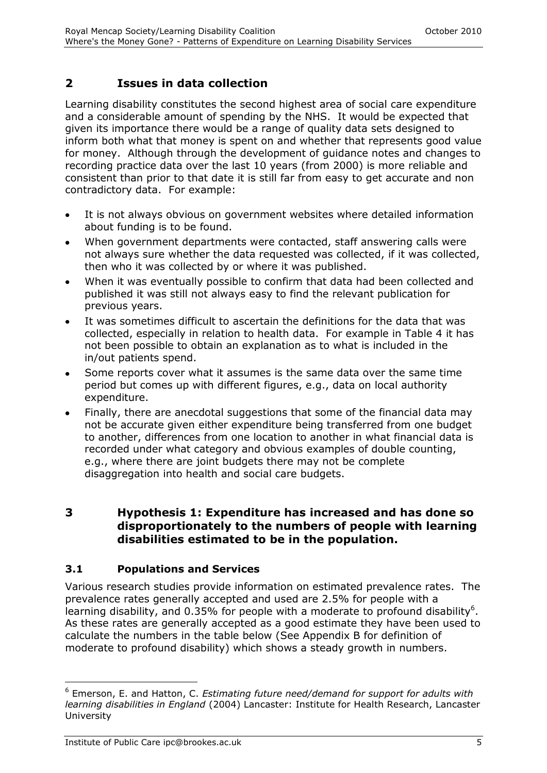## **2 Issues in data collection**

Learning disability constitutes the second highest area of social care expenditure and a considerable amount of spending by the NHS. It would be expected that given its importance there would be a range of quality data sets designed to inform both what that money is spent on and whether that represents good value for money. Although through the development of guidance notes and changes to recording practice data over the last 10 years (from 2000) is more reliable and consistent than prior to that date it is still far from easy to get accurate and non contradictory data. For example:

- It is not always obvious on government websites where detailed information about funding is to be found.
- When government departments were contacted, staff answering calls were  $\bullet$ not always sure whether the data requested was collected, if it was collected, then who it was collected by or where it was published.
- When it was eventually possible to confirm that data had been collected and published it was still not always easy to find the relevant publication for previous years.
- It was sometimes difficult to ascertain the definitions for the data that was  $\bullet$ collected, especially in relation to health data. For example in Table 4 it has not been possible to obtain an explanation as to what is included in the in/out patients spend.
- Some reports cover what it assumes is the same data over the same time period but comes up with different figures, e.g., data on local authority expenditure.
- Finally, there are anecdotal suggestions that some of the financial data may  $\bullet$ not be accurate given either expenditure being transferred from one budget to another, differences from one location to another in what financial data is recorded under what category and obvious examples of double counting, e.g., where there are joint budgets there may not be complete disaggregation into health and social care budgets.

#### **3 Hypothesis 1: Expenditure has increased and has done so disproportionately to the numbers of people with learning disabilities estimated to be in the population.**

#### **3.1 Populations and Services**

Various research studies provide information on estimated prevalence rates. The prevalence rates generally accepted and used are 2.5% for people with a learning disability, and 0.35% for people with a moderate to profound disability<sup>6</sup>. As these rates are generally accepted as a good estimate they have been used to calculate the numbers in the table below (See Appendix B for definition of moderate to profound disability) which shows a steady growth in numbers.

-

<sup>6</sup> Emerson, E. and Hatton, C. *Estimating future need/demand for support for adults with learning disabilities in England* (2004) Lancaster: Institute for Health Research, Lancaster University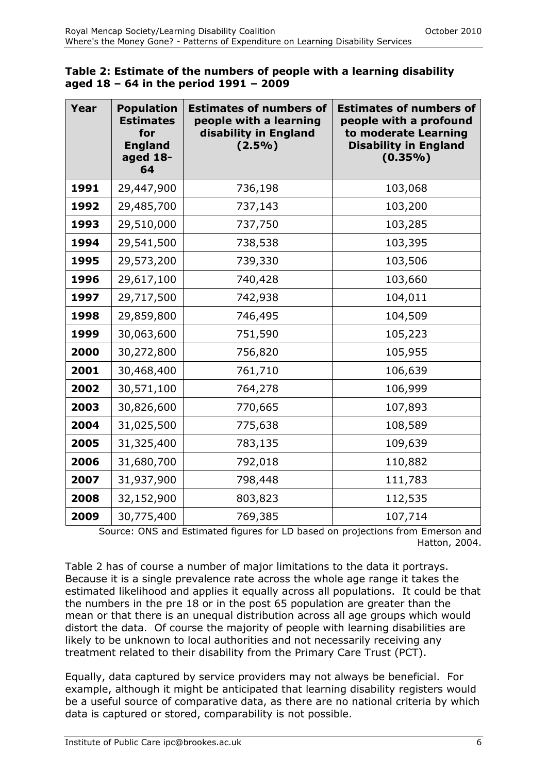| Table 2: Estimate of the numbers of people with a learning disability |  |
|-----------------------------------------------------------------------|--|
| aged 18 - 64 in the period 1991 - 2009                                |  |

| Year | <b>Population</b><br><b>Estimates</b><br>for<br><b>England</b><br>aged 18-<br>64 | <b>Estimates of numbers of</b><br>people with a learning<br>disability in England<br>$(2.5\%)$ | <b>Estimates of numbers of</b><br>people with a profound<br>to moderate Learning<br><b>Disability in England</b><br>$(0.35\%)$ |
|------|----------------------------------------------------------------------------------|------------------------------------------------------------------------------------------------|--------------------------------------------------------------------------------------------------------------------------------|
| 1991 | 29,447,900                                                                       | 736,198                                                                                        | 103,068                                                                                                                        |
| 1992 | 29,485,700                                                                       | 737,143                                                                                        | 103,200                                                                                                                        |
| 1993 | 29,510,000                                                                       | 737,750                                                                                        | 103,285                                                                                                                        |
| 1994 | 29,541,500                                                                       | 738,538                                                                                        | 103,395                                                                                                                        |
| 1995 | 29,573,200                                                                       | 739,330                                                                                        | 103,506                                                                                                                        |
| 1996 | 29,617,100                                                                       | 740,428                                                                                        | 103,660                                                                                                                        |
| 1997 | 29,717,500                                                                       | 742,938                                                                                        | 104,011                                                                                                                        |
| 1998 | 29,859,800                                                                       | 746,495                                                                                        | 104,509                                                                                                                        |
| 1999 | 30,063,600                                                                       | 751,590                                                                                        | 105,223                                                                                                                        |
| 2000 | 30,272,800                                                                       | 756,820                                                                                        | 105,955                                                                                                                        |
| 2001 | 30,468,400                                                                       | 761,710                                                                                        | 106,639                                                                                                                        |
| 2002 | 30,571,100                                                                       | 764,278                                                                                        | 106,999                                                                                                                        |
| 2003 | 30,826,600                                                                       | 770,665                                                                                        | 107,893                                                                                                                        |
| 2004 | 31,025,500                                                                       | 775,638                                                                                        | 108,589                                                                                                                        |
| 2005 | 31,325,400                                                                       | 783,135                                                                                        | 109,639                                                                                                                        |
| 2006 | 31,680,700                                                                       | 792,018                                                                                        | 110,882                                                                                                                        |
| 2007 | 31,937,900                                                                       | 798,448                                                                                        | 111,783                                                                                                                        |
| 2008 | 32,152,900                                                                       | 803,823                                                                                        | 112,535                                                                                                                        |
| 2009 | 30,775,400                                                                       | 769,385                                                                                        | 107,714                                                                                                                        |

Source: ONS and Estimated figures for LD based on projections from Emerson and Hatton, 2004.

Table 2 has of course a number of major limitations to the data it portrays. Because it is a single prevalence rate across the whole age range it takes the estimated likelihood and applies it equally across all populations. It could be that the numbers in the pre 18 or in the post 65 population are greater than the mean or that there is an unequal distribution across all age groups which would distort the data. Of course the majority of people with learning disabilities are likely to be unknown to local authorities and not necessarily receiving any treatment related to their disability from the Primary Care Trust (PCT).

Equally, data captured by service providers may not always be beneficial. For example, although it might be anticipated that learning disability registers would be a useful source of comparative data, as there are no national criteria by which data is captured or stored, comparability is not possible.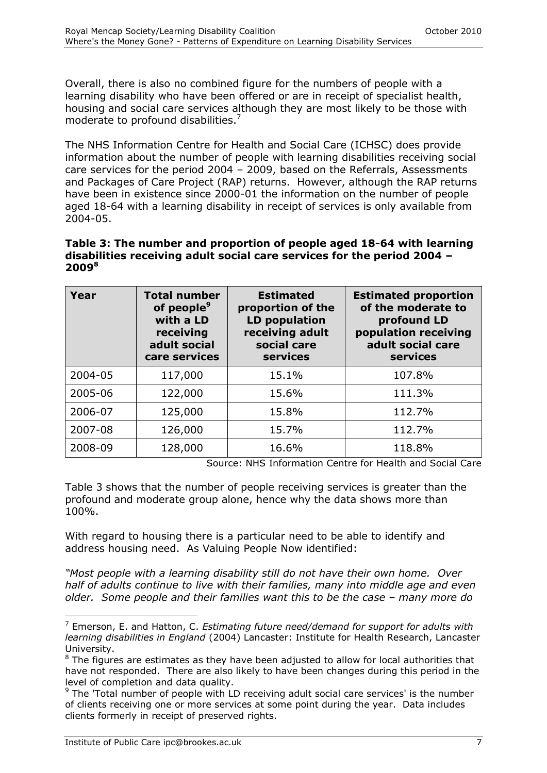Overall, there is also no combined figure for the numbers of people with a learning disability who have been offered or are in receipt of specialist health, housing and social care services although they are most likely to be those with moderate to profound disabilities.<sup>7</sup>

The NHS Information Centre for Health and Social Care (ICHSC) does provide information about the number of people with learning disabilities receiving social care services for the period 2004 – 2009, based on the Referrals, Assessments and Packages of Care Project (RAP) returns. However, although the RAP returns have been in existence since 2000-01 the information on the number of people aged 18-64 with a learning disability in receipt of services is only available from 2004-05.

#### **Table 3: The number and proportion of people aged 18-64 with learning disabilities receiving adult social care services for the period 2004 – 2009 8**

| Year    | <b>Total number</b><br>of people <sup>9</sup><br>with a LD<br>receiving<br>adult social<br>care services | <b>Estimated</b><br>proportion of the<br>LD population<br>receiving adult<br>social care<br>services | <b>Estimated proportion</b><br>of the moderate to<br>profound LD<br>population receiving<br>adult social care<br>services |
|---------|----------------------------------------------------------------------------------------------------------|------------------------------------------------------------------------------------------------------|---------------------------------------------------------------------------------------------------------------------------|
| 2004-05 | 117,000                                                                                                  | 15.1%                                                                                                | 107.8%                                                                                                                    |
| 2005-06 | 122,000                                                                                                  | 15.6%                                                                                                | 111.3%                                                                                                                    |
| 2006-07 | 125,000                                                                                                  | 15.8%                                                                                                | 112.7%                                                                                                                    |
| 2007-08 | 126,000                                                                                                  | 15.7%                                                                                                | 112.7%                                                                                                                    |
| 2008-09 | 128,000                                                                                                  | 16.6%                                                                                                | 118.8%                                                                                                                    |

Source: NHS Information Centre for Health and Social Care

Table 3 shows that the number of people receiving services is greater than the profound and moderate group alone, hence why the data shows more than 100%.

With regard to housing there is a particular need to be able to identify and address housing need. As Valuing People Now identified:

*"Most people with a learning disability still do not have their own home. Over half of adults continue to live with their families, many into middle age and even older. Some people and their families want this to be the case – many more do* 

l

<sup>7</sup> Emerson, E. and Hatton, C. *Estimating future need/demand for support for adults with learning disabilities in England* (2004) Lancaster: Institute for Health Research, Lancaster University.

 $8$  The figures are estimates as they have been adjusted to allow for local authorities that have not responded. There are also likely to have been changes during this period in the level of completion and data quality.

 $9$  The 'Total number of people with LD receiving adult social care services' is the number of clients receiving one or more services at some point during the year. Data includes clients formerly in receipt of preserved rights.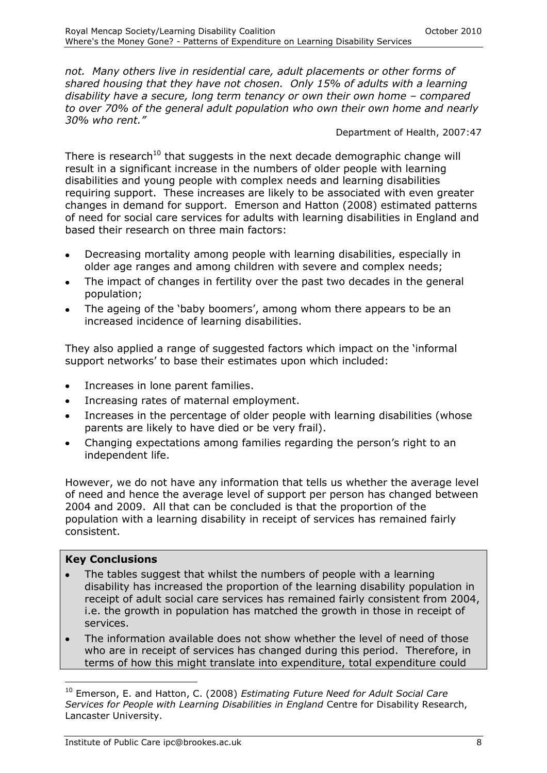*not. Many others live in residential care, adult placements or other forms of shared housing that they have not chosen. Only 15% of adults with a learning disability have a secure, long term tenancy or own their own home – compared to over 70% of the general adult population who own their own home and nearly 30% who rent."*

Department of Health, 2007:47

There is research<sup>10</sup> that suggests in the next decade demographic change will result in a significant increase in the numbers of older people with learning disabilities and young people with complex needs and learning disabilities requiring support. These increases are likely to be associated with even greater changes in demand for support. Emerson and Hatton (2008) estimated patterns of need for social care services for adults with learning disabilities in England and based their research on three main factors:

- Decreasing mortality among people with learning disabilities, especially in older age ranges and among children with severe and complex needs;
- The impact of changes in fertility over the past two decades in the general population;
- The ageing of the 'baby boomers', among whom there appears to be an increased incidence of learning disabilities.

They also applied a range of suggested factors which impact on the 'informal support networks' to base their estimates upon which included:

- Increases in lone parent families.
- Increasing rates of maternal employment.  $\bullet$
- Increases in the percentage of older people with learning disabilities (whose parents are likely to have died or be very frail).
- Changing expectations among families regarding the person's right to an independent life.

However, we do not have any information that tells us whether the average level of need and hence the average level of support per person has changed between 2004 and 2009. All that can be concluded is that the proportion of the population with a learning disability in receipt of services has remained fairly consistent.

#### **Key Conclusions**

-

- The tables suggest that whilst the numbers of people with a learning disability has increased the proportion of the learning disability population in receipt of adult social care services has remained fairly consistent from 2004, i.e. the growth in population has matched the growth in those in receipt of services.
- The information available does not show whether the level of need of those who are in receipt of services has changed during this period. Therefore, in terms of how this might translate into expenditure, total expenditure could

<sup>10</sup> Emerson, E. and Hatton, C. (2008) *Estimating Future Need for Adult Social Care Services for People with Learning Disabilities in England* Centre for Disability Research, Lancaster University.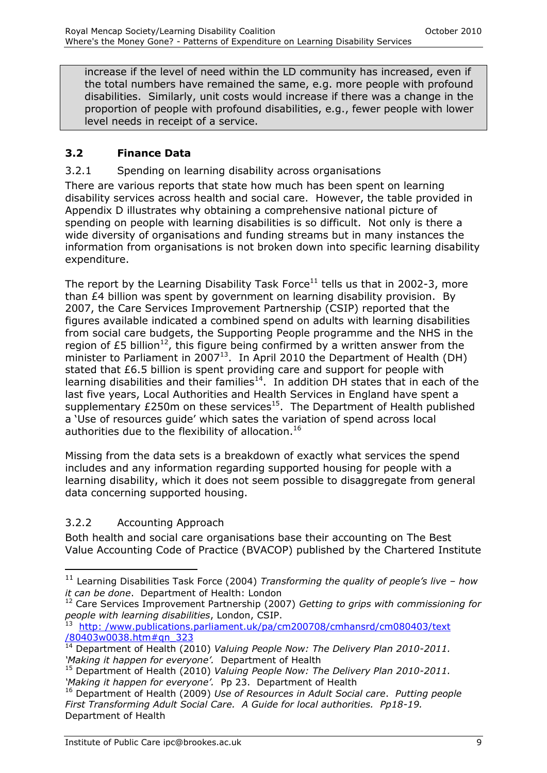increase if the level of need within the LD community has increased, even if the total numbers have remained the same, e.g. more people with profound disabilities. Similarly, unit costs would increase if there was a change in the proportion of people with profound disabilities, e.g., fewer people with lower level needs in receipt of a service.

#### **3.2 Finance Data**

#### 3.2.1 Spending on learning disability across organisations

There are various reports that state how much has been spent on learning disability services across health and social care. However, the table provided in Appendix D illustrates why obtaining a comprehensive national picture of spending on people with learning disabilities is so difficult. Not only is there a wide diversity of organisations and funding streams but in many instances the information from organisations is not broken down into specific learning disability expenditure.

The report by the Learning Disability Task Force<sup>11</sup> tells us that in 2002-3, more than £4 billion was spent by government on learning disability provision. By 2007, the Care Services Improvement Partnership (CSIP) reported that the figures available indicated a combined spend on adults with learning disabilities from social care budgets, the Supporting People programme and the NHS in the region of £5 billion<sup>12</sup>, this figure being confirmed by a written answer from the minister to Parliament in 2007<sup>13</sup>. In April 2010 the Department of Health (DH) stated that £6.5 billion is spent providing care and support for people with learning disabilities and their families<sup>14</sup>. In addition DH states that in each of the last five years, Local Authorities and Health Services in England have spent a supplementary  $£250m$  on these services<sup>15</sup>. The Department of Health published a 'Use of resources guide' which sates the variation of spend across local authorities due to the flexibility of allocation.<sup>16</sup>

Missing from the data sets is a breakdown of exactly what services the spend includes and any information regarding supported housing for people with a learning disability, which it does not seem possible to disaggregate from general data concerning supported housing.

#### 3.2.2 Accounting Approach

 $\overline{a}$ 

Both health and social care organisations base their accounting on The Best Value Accounting Code of Practice (BVACOP) published by the Chartered Institute

<sup>11</sup> Learning Disabilities Task Force (2004) *Transforming the quality of people"s live – how it can be done*. Department of Health: London

<sup>12</sup> Care Services Improvement Partnership (2007) *Getting to grips with commissioning for people with learning disabilities*, London, CSIP. 13 http: [/www.publications.parliament.uk/pa/cm200708/cmhansrd/cm080403/text](http://www.publications.parliament.uk/pa/cm200708/cmhansrd/cm080403/text/80403w0038.htm#qn_323)

[<sup>/80403</sup>w0038.htm#qn\\_323](http://www.publications.parliament.uk/pa/cm200708/cmhansrd/cm080403/text/80403w0038.htm#qn_323)

<sup>&</sup>lt;sup>14</sup> Department of Health (2010) *Valuing People Now: The Delivery Plan 2010-2011.* 'Making it happen for everyone'. Department of Health

<sup>15</sup> Department of Health (2010) *Valuing People Now: The Delivery Plan 2010-2011. "Making it happen for everyone".* Pp 23. Department of Health

<sup>16</sup> Department of Health (2009) *Use of Resources in Adult Social care*. *Putting people First Transforming Adult Social Care. A Guide for local authorities. Pp18-19.*  Department of Health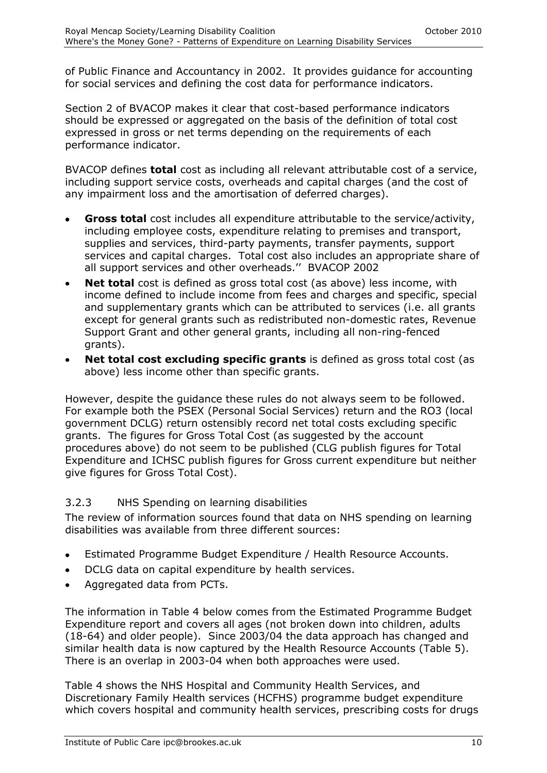of Public Finance and Accountancy in 2002. It provides guidance for accounting for social services and defining the cost data for performance indicators.

Section 2 of BVACOP makes it clear that cost-based performance indicators should be expressed or aggregated on the basis of the definition of total cost expressed in gross or net terms depending on the requirements of each performance indicator.

BVACOP defines **total** cost as including all relevant attributable cost of a service, including support service costs, overheads and capital charges (and the cost of any impairment loss and the amortisation of deferred charges).

- **Gross total** cost includes all expenditure attributable to the service/activity, including employee costs, expenditure relating to premises and transport, supplies and services, third-party payments, transfer payments, support services and capital charges. Total cost also includes an appropriate share of all support services and other overheads.'' BVACOP 2002
- **Net total** cost is defined as gross total cost (as above) less income, with income defined to include income from fees and charges and specific, special and supplementary grants which can be attributed to services (i.e. all grants except for general grants such as redistributed non-domestic rates, Revenue Support Grant and other general grants, including all non-ring-fenced grants).
- **Net total cost excluding specific grants** is defined as gross total cost (as above) less income other than specific grants.

However, despite the guidance these rules do not always seem to be followed. For example both the PSEX (Personal Social Services) return and the RO3 (local government DCLG) return ostensibly record net total costs excluding specific grants. The figures for Gross Total Cost (as suggested by the account procedures above) do not seem to be published (CLG publish figures for Total Expenditure and ICHSC publish figures for Gross current expenditure but neither give figures for Gross Total Cost).

#### 3.2.3 NHS Spending on learning disabilities

The review of information sources found that data on NHS spending on learning disabilities was available from three different sources:

- Estimated Programme Budget Expenditure / Health Resource Accounts.  $\bullet$
- DCLG data on capital expenditure by health services.
- Aggregated data from PCTs.

The information in Table 4 below comes from the Estimated Programme Budget Expenditure report and covers all ages (not broken down into children, adults (18-64) and older people). Since 2003/04 the data approach has changed and similar health data is now captured by the Health Resource Accounts (Table 5). There is an overlap in 2003-04 when both approaches were used.

Table 4 shows the NHS Hospital and Community Health Services, and Discretionary Family Health services (HCFHS) programme budget expenditure which covers hospital and community health services, prescribing costs for drugs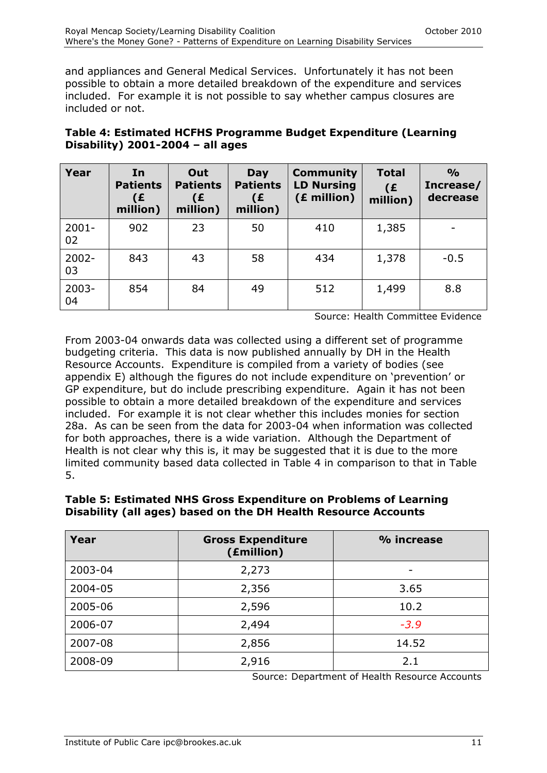and appliances and General Medical Services. Unfortunately it has not been possible to obtain a more detailed breakdown of the expenditure and services included. For example it is not possible to say whether campus closures are included or not.

| Table 4: Estimated HCFHS Programme Budget Expenditure (Learning |  |
|-----------------------------------------------------------------|--|
| Disability) $2001-2004 -$ all ages                              |  |

| Year           | In<br><b>Patients</b><br>(£<br>million) | Out<br><b>Patients</b><br>(£<br>million) | Day<br><b>Patients</b><br>(£<br>million) | <b>Community</b><br><b>LD Nursing</b><br>(£ million) | <b>Total</b><br>(E)<br>million) | $\frac{O}{O}$<br>Increase/<br>decrease |
|----------------|-----------------------------------------|------------------------------------------|------------------------------------------|------------------------------------------------------|---------------------------------|----------------------------------------|
| $2001 -$<br>02 | 902                                     | 23                                       | 50                                       | 410                                                  | 1,385                           |                                        |
| $2002 -$<br>03 | 843                                     | 43                                       | 58                                       | 434                                                  | 1,378                           | $-0.5$                                 |
| $2003 -$<br>04 | 854                                     | 84                                       | 49                                       | 512                                                  | 1,499                           | 8.8                                    |

Source: Health Committee Evidence

From 2003-04 onwards data was collected using a different set of programme budgeting criteria. This data is now published annually by DH in the Health Resource Accounts. Expenditure is compiled from a variety of bodies (see appendix E) although the figures do not include expenditure on 'prevention' or GP expenditure, but do include prescribing expenditure. Again it has not been possible to obtain a more detailed breakdown of the expenditure and services included. For example it is not clear whether this includes monies for section 28a. As can be seen from the data for 2003-04 when information was collected for both approaches, there is a wide variation. Although the Department of Health is not clear why this is, it may be suggested that it is due to the more limited community based data collected in Table 4 in comparison to that in Table 5.

| Year    | <b>Gross Expenditure</b><br>(£million) | % increase |
|---------|----------------------------------------|------------|
| 2003-04 | 2,273                                  | -          |
| 2004-05 | 2,356                                  | 3.65       |
| 2005-06 | 2,596                                  | 10.2       |
| 2006-07 | 2,494                                  | $-3.9$     |
| 2007-08 | 2,856                                  | 14.52      |
| 2008-09 | 2,916                                  | 2.1        |

#### **Table 5: Estimated NHS Gross Expenditure on Problems of Learning Disability (all ages) based on the DH Health Resource Accounts**

Source: Department of Health Resource Accounts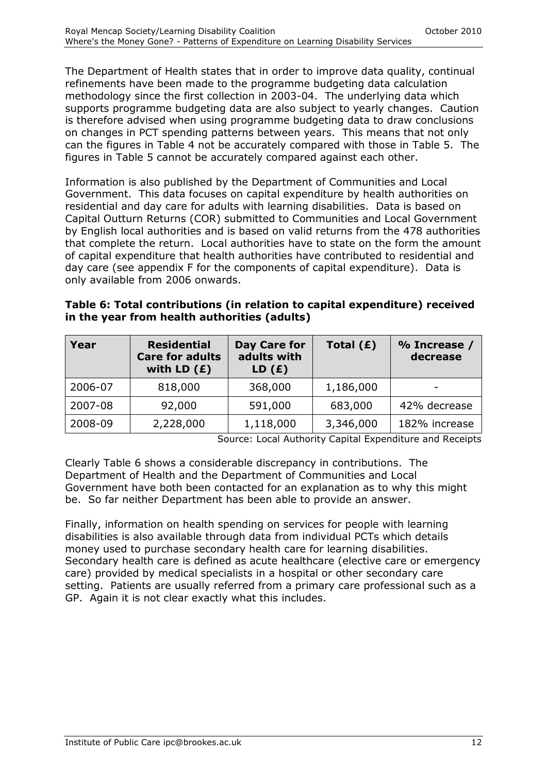The Department of Health states that in order to improve data quality, continual refinements have been made to the programme budgeting data calculation methodology since the first collection in 2003-04. The underlying data which supports programme budgeting data are also subject to yearly changes. Caution is therefore advised when using programme budgeting data to draw conclusions on changes in PCT spending patterns between years. This means that not only can the figures in Table 4 not be accurately compared with those in Table 5. The figures in Table 5 cannot be accurately compared against each other.

Information is also published by the Department of Communities and Local Government. This data focuses on capital expenditure by health authorities on residential and day care for adults with learning disabilities. Data is based on Capital Outturn Returns (COR) submitted to Communities and Local Government by English local authorities and is based on valid returns from the 478 authorities that complete the return. Local authorities have to state on the form the amount of capital expenditure that health authorities have contributed to residential and day care (see appendix F for the components of capital expenditure). Data is only available from 2006 onwards.

| Table 6: Total contributions (in relation to capital expenditure) received |  |
|----------------------------------------------------------------------------|--|
| in the year from health authorities (adults)                               |  |

| Year    | <b>Residential</b><br><b>Care for adults</b><br>with LD $(E)$ | Day Care for<br>adults with<br>LD(f) | Total $(E)$ | % Increase /<br>decrease |
|---------|---------------------------------------------------------------|--------------------------------------|-------------|--------------------------|
| 2006-07 | 818,000                                                       | 368,000                              | 1,186,000   | -                        |
| 2007-08 | 92,000                                                        | 591,000                              | 683,000     | 42% decrease             |
| 2008-09 | 2,228,000                                                     | 1,118,000                            | 3,346,000   | 182% increase            |

Source: Local Authority Capital Expenditure and Receipts

Clearly Table 6 shows a considerable discrepancy in contributions. The Department of Health and the Department of Communities and Local Government have both been contacted for an explanation as to why this might be. So far neither Department has been able to provide an answer.

Finally, information on health spending on services for people with learning disabilities is also available through data from individual PCTs which details money used to purchase secondary health care for learning disabilities. Secondary health care is defined as acute healthcare (elective care or emergency care) provided by medical specialists in a hospital or other secondary care setting. Patients are usually referred from a primary care professional such as a GP. Again it is not clear exactly what this includes.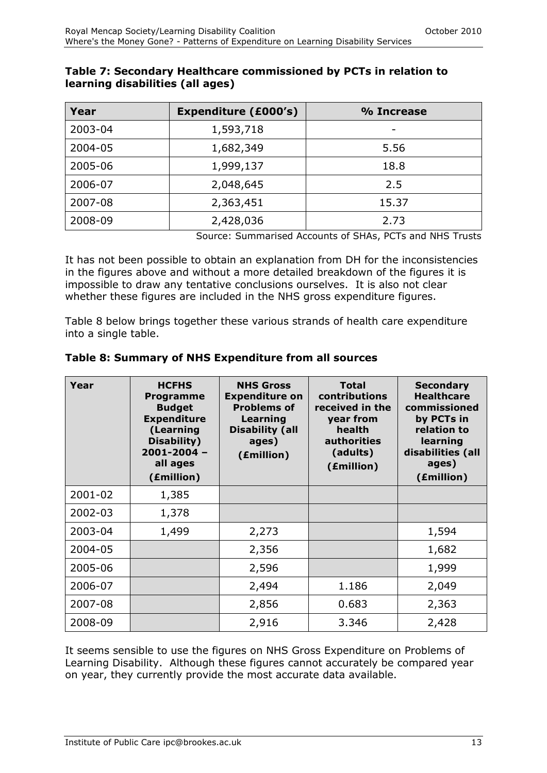| Year    | <b>Expenditure (£000's)</b> | % Increase |  |  |
|---------|-----------------------------|------------|--|--|
| 2003-04 | 1,593,718                   | -          |  |  |
| 2004-05 | 1,682,349                   | 5.56       |  |  |
| 2005-06 | 1,999,137                   | 18.8       |  |  |
| 2006-07 | 2,048,645                   | 2.5        |  |  |
| 2007-08 | 2,363,451                   | 15.37      |  |  |
| 2008-09 | 2,428,036                   | 2.73       |  |  |

#### **Table 7: Secondary Healthcare commissioned by PCTs in relation to learning disabilities (all ages)**

Source: Summarised Accounts of SHAs, PCTs and NHS Trusts

It has not been possible to obtain an explanation from DH for the inconsistencies in the figures above and without a more detailed breakdown of the figures it is impossible to draw any tentative conclusions ourselves. It is also not clear whether these figures are included in the NHS gross expenditure figures.

Table 8 below brings together these various strands of health care expenditure into a single table.

| Year    | <b>HCFHS</b><br><b>Programme</b><br><b>Budget</b><br><b>Expenditure</b><br>(Learning<br>Disability)<br>$2001 - 2004 -$<br>all ages<br>(£million) | <b>NHS Gross</b><br><b>Expenditure on</b><br><b>Problems of</b><br>Learning<br><b>Disability (all</b><br>ages)<br>(£million) | <b>Total</b><br>contributions<br>received in the<br>year from<br>health<br>authorities<br>(adults)<br>(£million) | <b>Secondary</b><br><b>Healthcare</b><br>commissioned<br>by PCTs in<br>relation to<br>learning<br>disabilities (all<br>ages)<br>(£million) |
|---------|--------------------------------------------------------------------------------------------------------------------------------------------------|------------------------------------------------------------------------------------------------------------------------------|------------------------------------------------------------------------------------------------------------------|--------------------------------------------------------------------------------------------------------------------------------------------|
| 2001-02 | 1,385                                                                                                                                            |                                                                                                                              |                                                                                                                  |                                                                                                                                            |
| 2002-03 | 1,378                                                                                                                                            |                                                                                                                              |                                                                                                                  |                                                                                                                                            |
| 2003-04 | 1,499                                                                                                                                            | 2,273                                                                                                                        |                                                                                                                  | 1,594                                                                                                                                      |
| 2004-05 |                                                                                                                                                  | 2,356                                                                                                                        |                                                                                                                  | 1,682                                                                                                                                      |
| 2005-06 |                                                                                                                                                  | 2,596                                                                                                                        |                                                                                                                  | 1,999                                                                                                                                      |
| 2006-07 |                                                                                                                                                  | 2,494                                                                                                                        | 1.186                                                                                                            | 2,049                                                                                                                                      |
| 2007-08 |                                                                                                                                                  | 2,856                                                                                                                        | 0.683                                                                                                            | 2,363                                                                                                                                      |
| 2008-09 |                                                                                                                                                  | 2,916                                                                                                                        | 3.346                                                                                                            | 2,428                                                                                                                                      |

#### **Table 8: Summary of NHS Expenditure from all sources**

It seems sensible to use the figures on NHS Gross Expenditure on Problems of Learning Disability. Although these figures cannot accurately be compared year on year, they currently provide the most accurate data available.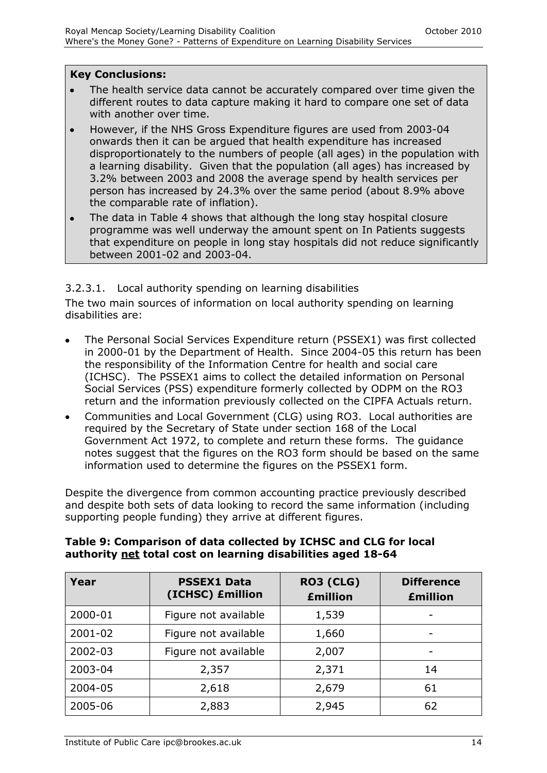#### **Key Conclusions:**

- The health service data cannot be accurately compared over time given the different routes to data capture making it hard to compare one set of data with another over time.
- However, if the NHS Gross Expenditure figures are used from 2003-04 onwards then it can be argued that health expenditure has increased disproportionately to the numbers of people (all ages) in the population with a learning disability. Given that the population (all ages) has increased by 3.2% between 2003 and 2008 the average spend by health services per person has increased by 24.3% over the same period (about 8.9% above the comparable rate of inflation).
- The data in Table 4 shows that although the long stay hospital closure programme was well underway the amount spent on In Patients suggests that expenditure on people in long stay hospitals did not reduce significantly between 2001-02 and 2003-04.

#### 3.2.3.1. Local authority spending on learning disabilities

The two main sources of information on local authority spending on learning disabilities are:

- The Personal Social Services Expenditure return (PSSEX1) was first collected in 2000-01 by the Department of Health. Since 2004-05 this return has been the responsibility of the Information Centre for health and social care (ICHSC). The PSSEX1 aims to collect the detailed information on Personal Social Services (PSS) expenditure formerly collected by ODPM on the RO3 return and the information previously collected on the CIPFA Actuals return.
- Communities and Local Government (CLG) using RO3. Local authorities are  $\bullet$ required by the Secretary of State under section 168 of the Local Government Act 1972, to complete and return these forms. The guidance notes suggest that the figures on the RO3 form should be based on the same information used to determine the figures on the PSSEX1 form.

Despite the divergence from common accounting practice previously described and despite both sets of data looking to record the same information (including supporting people funding) they arrive at different figures.

| Year    | <b>PSSEX1 Data</b><br>(ICHSC) £million | <b>RO3 (CLG)</b><br><b>£million</b> | <b>Difference</b><br><b>£million</b> |
|---------|----------------------------------------|-------------------------------------|--------------------------------------|
| 2000-01 | Figure not available                   | 1,539                               |                                      |
| 2001-02 | Figure not available                   | 1,660                               | $\overline{\phantom{0}}$             |
| 2002-03 | Figure not available                   | 2,007                               |                                      |
| 2003-04 | 2,357                                  | 2,371                               | 14                                   |
| 2004-05 | 2,618                                  | 2,679                               | 61                                   |
| 2005-06 | 2,883                                  | 2,945                               | 62                                   |

#### **Table 9: Comparison of data collected by ICHSC and CLG for local authority net total cost on learning disabilities aged 18-64**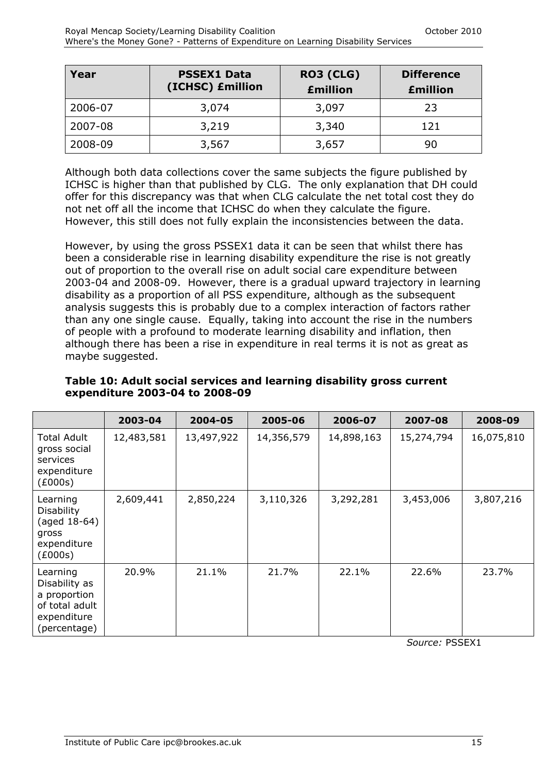| Year    | <b>PSSEX1 Data</b><br>(ICHSC) £million | RO3 (CLG)<br><b>£million</b> | <b>Difference</b><br><b>£million</b> |
|---------|----------------------------------------|------------------------------|--------------------------------------|
| 2006-07 | 3,074                                  | 3,097                        | 23                                   |
| 2007-08 | 3,219                                  | 3,340                        | 121                                  |
| 2008-09 | 3,567                                  | 3,657                        | 90                                   |

Although both data collections cover the same subjects the figure published by ICHSC is higher than that published by CLG. The only explanation that DH could offer for this discrepancy was that when CLG calculate the net total cost they do not net off all the income that ICHSC do when they calculate the figure. However, this still does not fully explain the inconsistencies between the data.

However, by using the gross PSSEX1 data it can be seen that whilst there has been a considerable rise in learning disability expenditure the rise is not greatly out of proportion to the overall rise on adult social care expenditure between 2003-04 and 2008-09. However, there is a gradual upward trajectory in learning disability as a proportion of all PSS expenditure, although as the subsequent analysis suggests this is probably due to a complex interaction of factors rather than any one single cause. Equally, taking into account the rise in the numbers of people with a profound to moderate learning disability and inflation, then although there has been a rise in expenditure in real terms it is not as great as maybe suggested.

|                                                                                            | 2003-04    | 2004-05    | 2005-06    | 2006-07    | 2007-08    | 2008-09    |
|--------------------------------------------------------------------------------------------|------------|------------|------------|------------|------------|------------|
| Total Adult<br>gross social<br>services<br>expenditure<br>(E000s)                          | 12,483,581 | 13,497,922 | 14,356,579 | 14,898,163 | 15,274,794 | 16,075,810 |
| Learning<br><b>Disability</b><br>(aged 18-64)<br>gross<br>expenditure<br>(£000s)           | 2,609,441  | 2,850,224  | 3,110,326  | 3,292,281  | 3,453,006  | 3,807,216  |
| Learning<br>Disability as<br>a proportion<br>of total adult<br>expenditure<br>(percentage) | 20.9%      | 21.1%      | 21.7%      | 22.1%      | 22.6%      | 23.7%      |

**Table 10: Adult social services and learning disability gross current expenditure 2003-04 to 2008-09**

*Source:* PSSEX1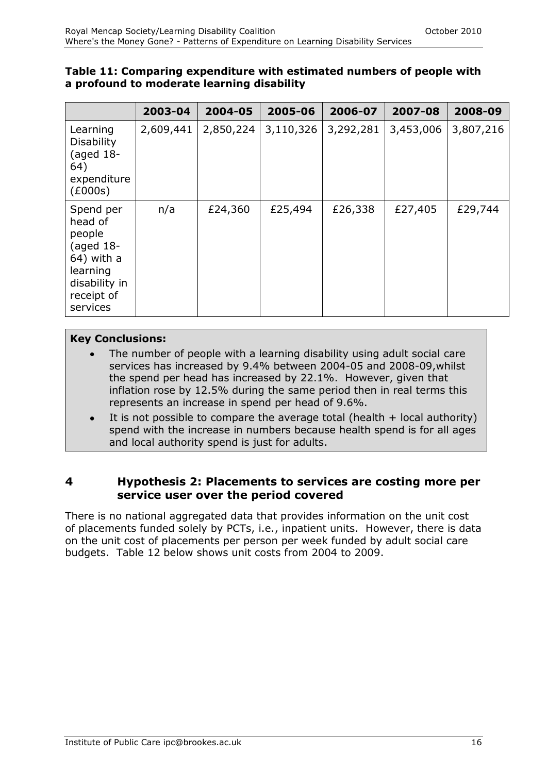#### **Table 11: Comparing expenditure with estimated numbers of people with a profound to moderate learning disability**

|                                                                                                                    | 2003-04   | 2004-05   | 2005-06   | 2006-07   | 2007-08   | 2008-09   |
|--------------------------------------------------------------------------------------------------------------------|-----------|-----------|-----------|-----------|-----------|-----------|
| Learning<br><b>Disability</b><br>(aged $18-$<br>64)<br>expenditure<br>(£000s)                                      | 2,609,441 | 2,850,224 | 3,110,326 | 3,292,281 | 3,453,006 | 3,807,216 |
| Spend per<br>head of<br>people<br>(aged $18-$<br>64) with a<br>learning<br>disability in<br>receipt of<br>services | n/a       | £24,360   | £25,494   | £26,338   | £27,405   | £29,744   |

#### **Key Conclusions:**

- The number of people with a learning disability using adult social care services has increased by 9.4% between 2004-05 and 2008-09,whilst the spend per head has increased by 22.1%. However, given that inflation rose by 12.5% during the same period then in real terms this represents an increase in spend per head of 9.6%.
- It is not possible to compare the average total (health  $+$  local authority) spend with the increase in numbers because health spend is for all ages and local authority spend is just for adults.

#### **4 Hypothesis 2: Placements to services are costing more per service user over the period covered**

There is no national aggregated data that provides information on the unit cost of placements funded solely by PCTs, i.e., inpatient units. However, there is data on the unit cost of placements per person per week funded by adult social care budgets. Table 12 below shows unit costs from 2004 to 2009.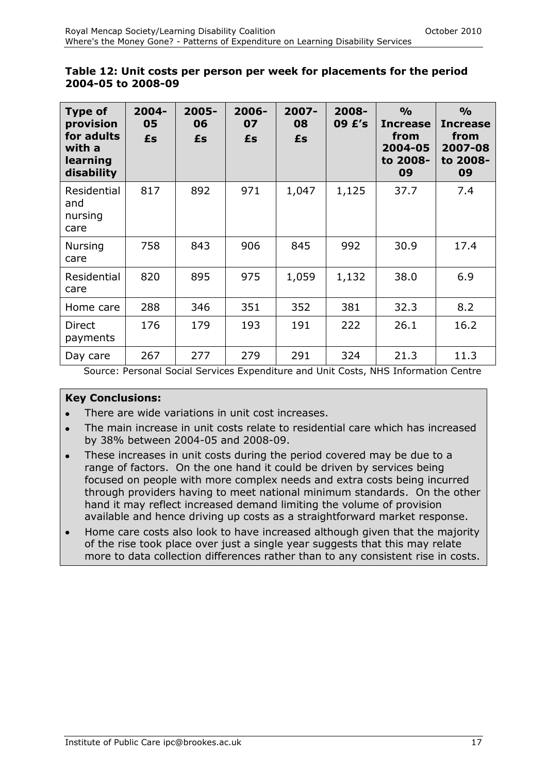| Type of<br>provision<br>for adults<br>with a<br>learning<br>disability | $2004 -$<br>05<br>£s | 2005-<br>06<br>£s | $2006 -$<br>07<br>£s | $2007 -$<br>08<br>£s | 2008-<br>09 £'s | $\frac{0}{0}$<br><b>Increase</b><br>from<br>2004-05<br>to 2008-<br>09 | $\frac{0}{0}$<br><b>Increase</b><br>from<br>2007-08<br>to 2008-<br>09 |
|------------------------------------------------------------------------|----------------------|-------------------|----------------------|----------------------|-----------------|-----------------------------------------------------------------------|-----------------------------------------------------------------------|
| Residential<br>and<br>nursing<br>care                                  | 817                  | 892               | 971                  | 1,047                | 1,125           | 37.7                                                                  | 7.4                                                                   |
| <b>Nursing</b><br>care                                                 | 758                  | 843               | 906                  | 845                  | 992             | 30.9                                                                  | 17.4                                                                  |
| Residential<br>care                                                    | 820                  | 895               | 975                  | 1,059                | 1,132           | 38.0                                                                  | 6.9                                                                   |
| Home care                                                              | 288                  | 346               | 351                  | 352                  | 381             | 32.3                                                                  | 8.2                                                                   |
| <b>Direct</b><br>payments                                              | 176                  | 179               | 193                  | 191                  | 222             | 26.1                                                                  | 16.2                                                                  |
| Day care                                                               | 267                  | 277               | 279                  | 291                  | 324             | 21.3                                                                  | 11.3                                                                  |

#### **Table 12: Unit costs per person per week for placements for the period 2004-05 to 2008-09**

Source: Personal Social Services Expenditure and Unit Costs, NHS Information Centre

#### **Key Conclusions:**

- There are wide variations in unit cost increases.
- The main increase in unit costs relate to residential care which has increased  $\bullet$ by 38% between 2004-05 and 2008-09.
- These increases in unit costs during the period covered may be due to a range of factors. On the one hand it could be driven by services being focused on people with more complex needs and extra costs being incurred through providers having to meet national minimum standards. On the other hand it may reflect increased demand limiting the volume of provision available and hence driving up costs as a straightforward market response.
- Home care costs also look to have increased although given that the majority  $\bullet$ of the rise took place over just a single year suggests that this may relate more to data collection differences rather than to any consistent rise in costs.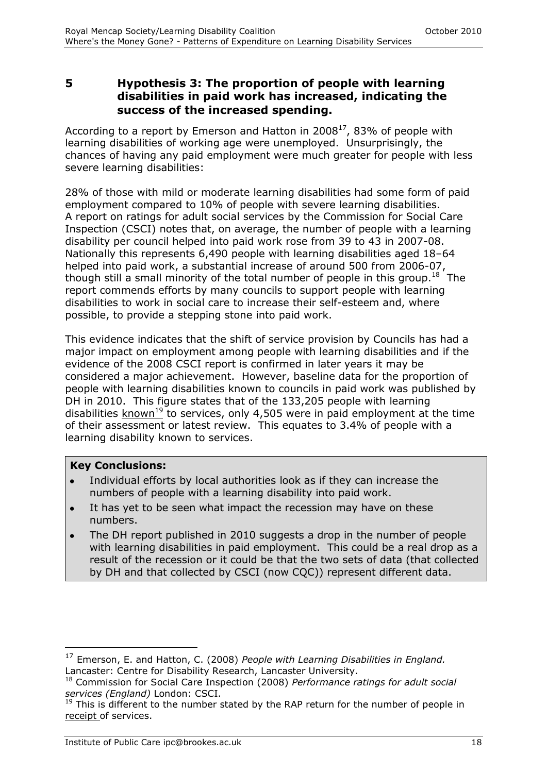**5 Hypothesis 3: The proportion of people with learning disabilities in paid work has increased, indicating the success of the increased spending.**

According to a report by Emerson and Hatton in 2008 $^{17}$ , 83% of people with learning disabilities of working age were unemployed. Unsurprisingly, the chances of having any paid employment were much greater for people with less severe learning disabilities:

28% of those with mild or moderate learning disabilities had some form of paid employment compared to 10% of people with severe learning disabilities. A report on ratings for adult social services by the Commission for Social Care Inspection (CSCI) notes that, on average, the number of people with a learning disability per council helped into paid work rose from 39 to 43 in 2007-08. Nationally this represents 6,490 people with learning disabilities aged 18–64 helped into paid work, a substantial increase of around 500 from 2006-07, though still a small minority of the total number of people in this group.<sup>18</sup> The report commends efforts by many councils to support people with learning disabilities to work in social care to increase their self-esteem and, where possible, to provide a stepping stone into paid work.

This evidence indicates that the shift of service provision by Councils has had a major impact on employment among people with learning disabilities and if the evidence of the 2008 CSCI report is confirmed in later years it may be considered a major achievement. However, baseline data for the proportion of people with learning disabilities known to councils in paid work was published by DH in 2010. This figure states that of the 133,205 people with learning disabilities  $k$ nown<sup>19</sup> to services, only 4,505 were in paid employment at the time of their assessment or latest review. This equates to 3.4% of people with a learning disability known to services.

#### **Key Conclusions:**

 $\overline{a}$ 

- Individual efforts by local authorities look as if they can increase the numbers of people with a learning disability into paid work.
- It has yet to be seen what impact the recession may have on these numbers.
- The DH report published in 2010 suggests a drop in the number of people with learning disabilities in paid employment. This could be a real drop as a result of the recession or it could be that the two sets of data (that collected by DH and that collected by CSCI (now CQC)) represent different data.

<sup>17</sup> Emerson, E. and Hatton, C. (2008) *People with Learning Disabilities in England.*  Lancaster: Centre for Disability Research, Lancaster University.

<sup>18</sup> Commission for Social Care Inspection (2008) *Performance ratings for adult social services (England)* London: CSCI.

 $19$  This is different to the number stated by the RAP return for the number of people in receipt of services.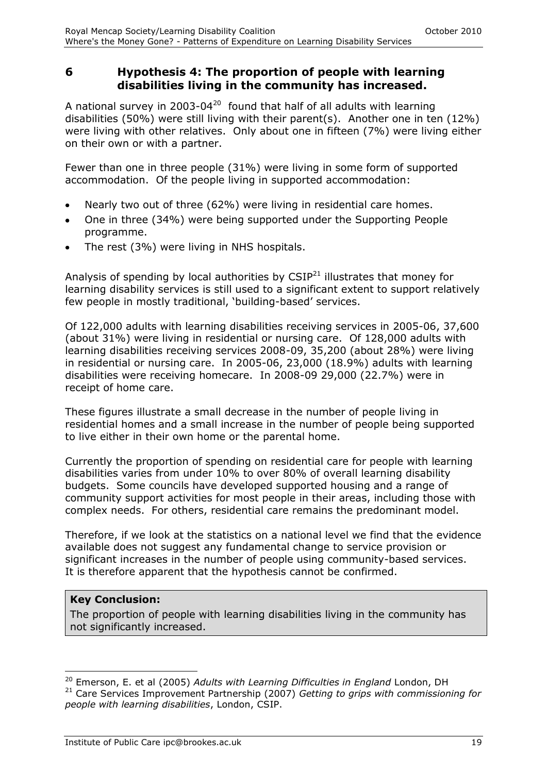#### **6 Hypothesis 4: The proportion of people with learning disabilities living in the community has increased.**

A national survey in 2003-04<sup>20</sup> found that half of all adults with learning disabilities (50%) were still living with their parent(s). Another one in ten (12%) were living with other relatives. Only about one in fifteen (7%) were living either on their own or with a partner.

Fewer than one in three people (31%) were living in some form of supported accommodation. Of the people living in supported accommodation:

- Nearly two out of three (62%) were living in residential care homes.  $\bullet$
- One in three (34%) were being supported under the Supporting People programme.
- The rest (3%) were living in NHS hospitals.

Analysis of spending by local authorities by  $CSIP<sup>21</sup>$  illustrates that money for learning disability services is still used to a significant extent to support relatively few people in mostly traditional, 'building-based' services.

Of 122,000 adults with learning disabilities receiving services in 2005-06, 37,600 (about 31%) were living in residential or nursing care. Of 128,000 adults with learning disabilities receiving services 2008-09, 35,200 (about 28%) were living in residential or nursing care. In 2005-06, 23,000 (18.9%) adults with learning disabilities were receiving homecare. In 2008-09 29,000 (22.7%) were in receipt of home care.

These figures illustrate a small decrease in the number of people living in residential homes and a small increase in the number of people being supported to live either in their own home or the parental home.

Currently the proportion of spending on residential care for people with learning disabilities varies from under 10% to over 80% of overall learning disability budgets. Some councils have developed supported housing and a range of community support activities for most people in their areas, including those with complex needs. For others, residential care remains the predominant model.

Therefore, if we look at the statistics on a national level we find that the evidence available does not suggest any fundamental change to service provision or significant increases in the number of people using community-based services. It is therefore apparent that the hypothesis cannot be confirmed.

#### **Key Conclusion:**

 $\overline{a}$ 

The proportion of people with learning disabilities living in the community has not significantly increased.

<sup>20</sup> Emerson, E. et al (2005) *Adults with Learning Difficulties in England* London, DH <sup>21</sup> Care Services Improvement Partnership (2007) *Getting to grips with commissioning for people with learning disabilities*, London, CSIP.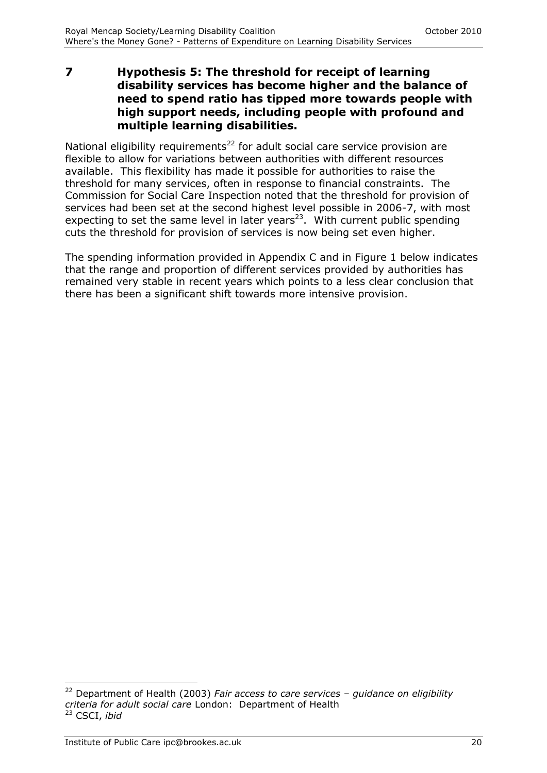**7 Hypothesis 5: The threshold for receipt of learning disability services has become higher and the balance of need to spend ratio has tipped more towards people with high support needs, including people with profound and multiple learning disabilities.**

National eligibility requirements<sup>22</sup> for adult social care service provision are flexible to allow for variations between authorities with different resources available. This flexibility has made it possible for authorities to raise the threshold for many services, often in response to financial constraints. The Commission for Social Care Inspection noted that the threshold for provision of services had been set at the second highest level possible in 2006-7, with most expecting to set the same level in later years<sup>23</sup>. With current public spending cuts the threshold for provision of services is now being set even higher.

The spending information provided in Appendix C and in Figure 1 below indicates that the range and proportion of different services provided by authorities has remained very stable in recent years which points to a less clear conclusion that there has been a significant shift towards more intensive provision.

-

<sup>22</sup> Department of Health (2003) *Fair access to care services – guidance on eligibility criteria for adult social care* London: Department of Health <sup>23</sup> CSCI, *ibid*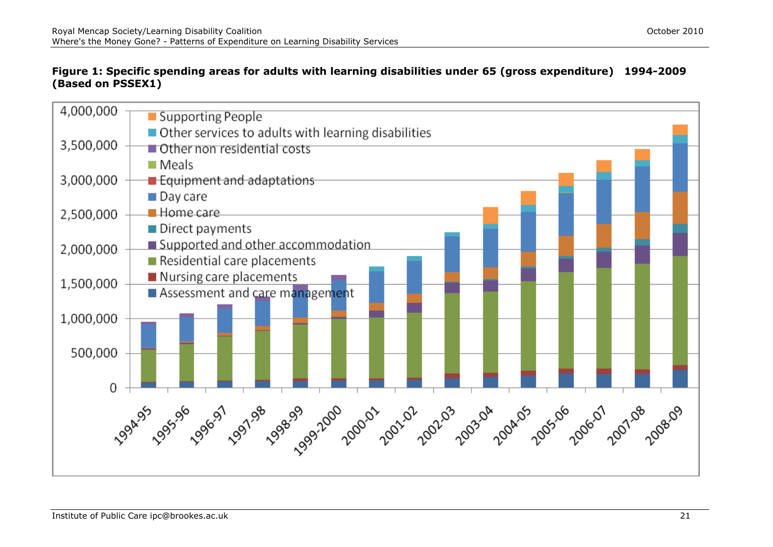#### **Figure 1: Specific spending areas for adults with learning disabilities under 65 (gross expenditure) 1994-2009 (Based on PSSEX1)**

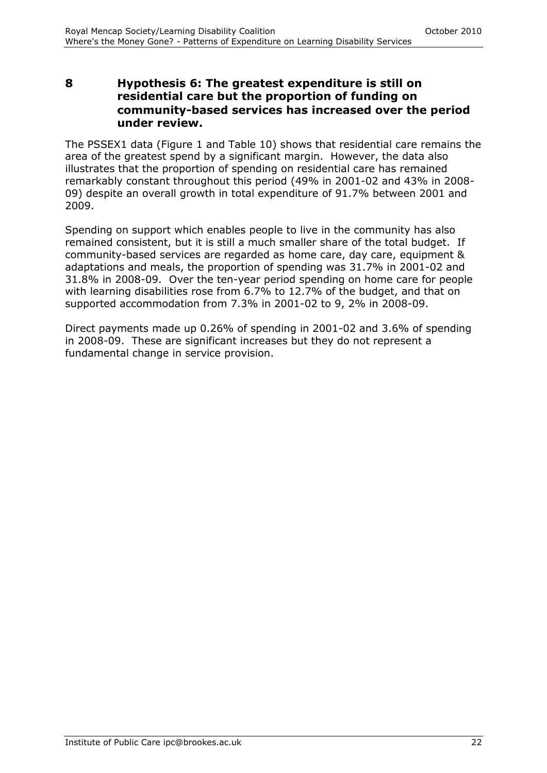#### **8 Hypothesis 6: The greatest expenditure is still on residential care but the proportion of funding on community-based services has increased over the period under review.**

The PSSEX1 data (Figure 1 and Table 10) shows that residential care remains the area of the greatest spend by a significant margin. However, the data also illustrates that the proportion of spending on residential care has remained remarkably constant throughout this period (49% in 2001-02 and 43% in 2008- 09) despite an overall growth in total expenditure of 91.7% between 2001 and 2009.

Spending on support which enables people to live in the community has also remained consistent, but it is still a much smaller share of the total budget. If community-based services are regarded as home care, day care, equipment & adaptations and meals, the proportion of spending was 31.7% in 2001-02 and 31.8% in 2008-09. Over the ten-year period spending on home care for people with learning disabilities rose from 6.7% to 12.7% of the budget, and that on supported accommodation from 7.3% in 2001-02 to 9, 2% in 2008-09.

Direct payments made up 0.26% of spending in 2001-02 and 3.6% of spending in 2008-09. These are significant increases but they do not represent a fundamental change in service provision.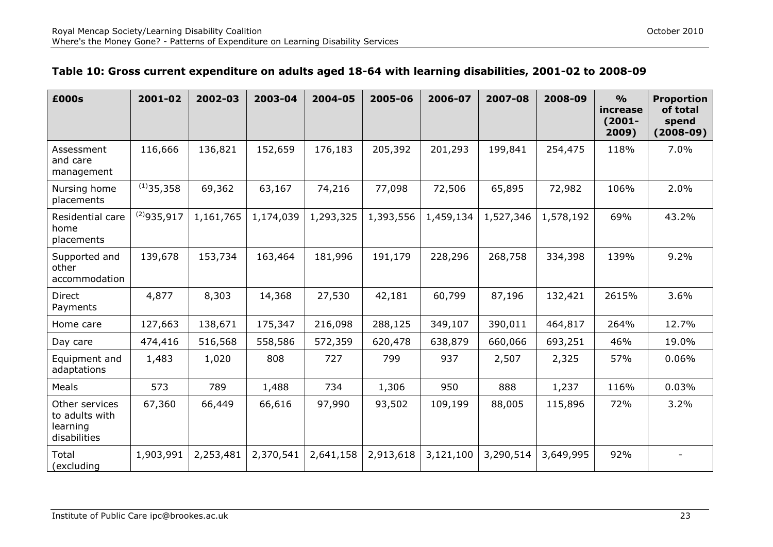| £000s                                                        | 2001-02         | 2002-03   | 2003-04   | 2004-05   | 2005-06   | 2006-07   | 2007-08   | 2008-09   | $\frac{9}{0}$<br>increase<br>$(2001 -$<br>2009) | <b>Proportion</b><br>of total<br>spend<br>$(2008-09)$ |
|--------------------------------------------------------------|-----------------|-----------|-----------|-----------|-----------|-----------|-----------|-----------|-------------------------------------------------|-------------------------------------------------------|
| Assessment<br>and care<br>management                         | 116,666         | 136,821   | 152,659   | 176,183   | 205,392   | 201,293   | 199,841   | 254,475   | 118%                                            | 7.0%                                                  |
| Nursing home<br>placements                                   | $(1)$ 35,358    | 69,362    | 63,167    | 74,216    | 77,098    | 72,506    | 65,895    | 72,982    | 106%                                            | 2.0%                                                  |
| Residential care<br>home<br>placements                       | $^{(2)}935,917$ | 1,161,765 | 1,174,039 | 1,293,325 | 1,393,556 | 1,459,134 | 1,527,346 | 1,578,192 | 69%                                             | 43.2%                                                 |
| Supported and<br>other<br>accommodation                      | 139,678         | 153,734   | 163,464   | 181,996   | 191,179   | 228,296   | 268,758   | 334,398   | 139%                                            | 9.2%                                                  |
| Direct<br>Payments                                           | 4,877           | 8,303     | 14,368    | 27,530    | 42,181    | 60,799    | 87,196    | 132,421   | 2615%                                           | 3.6%                                                  |
| Home care                                                    | 127,663         | 138,671   | 175,347   | 216,098   | 288,125   | 349,107   | 390,011   | 464,817   | 264%                                            | 12.7%                                                 |
| Day care                                                     | 474,416         | 516,568   | 558,586   | 572,359   | 620,478   | 638,879   | 660,066   | 693,251   | 46%                                             | 19.0%                                                 |
| Equipment and<br>adaptations                                 | 1,483           | 1,020     | 808       | 727       | 799       | 937       | 2,507     | 2,325     | 57%                                             | 0.06%                                                 |
| Meals                                                        | 573             | 789       | 1,488     | 734       | 1,306     | 950       | 888       | 1,237     | 116%                                            | 0.03%                                                 |
| Other services<br>to adults with<br>learning<br>disabilities | 67,360          | 66,449    | 66,616    | 97,990    | 93,502    | 109,199   | 88,005    | 115,896   | 72%                                             | 3.2%                                                  |
| Total<br>(excluding                                          | 1,903,991       | 2,253,481 | 2,370,541 | 2,641,158 | 2,913,618 | 3,121,100 | 3,290,514 | 3,649,995 | 92%                                             |                                                       |

#### **Table 10: Gross current expenditure on adults aged 18-64 with learning disabilities, 2001-02 to 2008-09**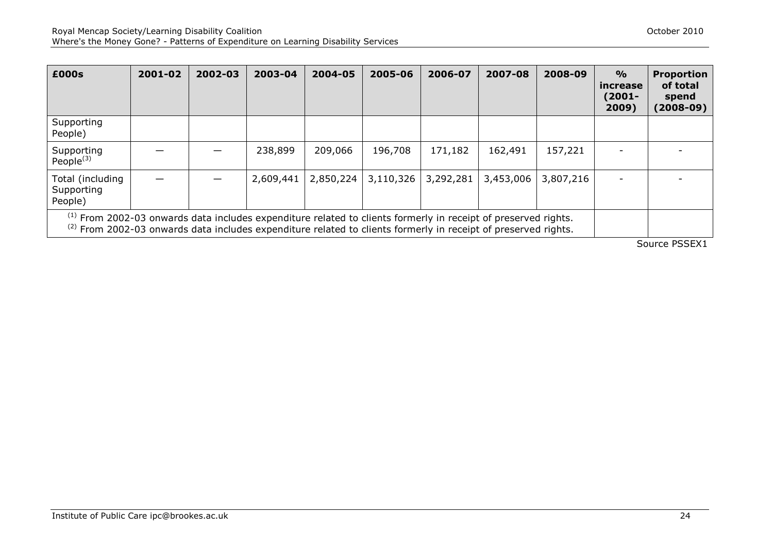| £000s                                                                                                                                                                                                                                                  | 2001-02 | 2002-03 | 2003-04   | 2004-05   | 2005-06   | 2006-07   | 2007-08   | 2008-09   | $\frac{O}{O}$<br>increase<br>$(2001 -$<br>2009) | <b>Proportion</b><br>of total<br>spend<br>$(2008-09)$ |
|--------------------------------------------------------------------------------------------------------------------------------------------------------------------------------------------------------------------------------------------------------|---------|---------|-----------|-----------|-----------|-----------|-----------|-----------|-------------------------------------------------|-------------------------------------------------------|
| Supporting<br>People)                                                                                                                                                                                                                                  |         |         |           |           |           |           |           |           |                                                 |                                                       |
| Supporting<br>People $^{(3)}$                                                                                                                                                                                                                          |         |         | 238,899   | 209,066   | 196,708   | 171,182   | 162,491   | 157,221   |                                                 |                                                       |
| Total (including<br>Supporting<br>People)                                                                                                                                                                                                              |         |         | 2,609,441 | 2,850,224 | 3,110,326 | 3,292,281 | 3,453,006 | 3,807,216 |                                                 |                                                       |
| <sup>(1)</sup> From 2002-03 onwards data includes expenditure related to clients formerly in receipt of preserved rights.<br><sup>(2)</sup> From 2002-03 onwards data includes expenditure related to clients formerly in receipt of preserved rights. |         |         |           |           |           |           |           |           |                                                 |                                                       |

Source PSSEX1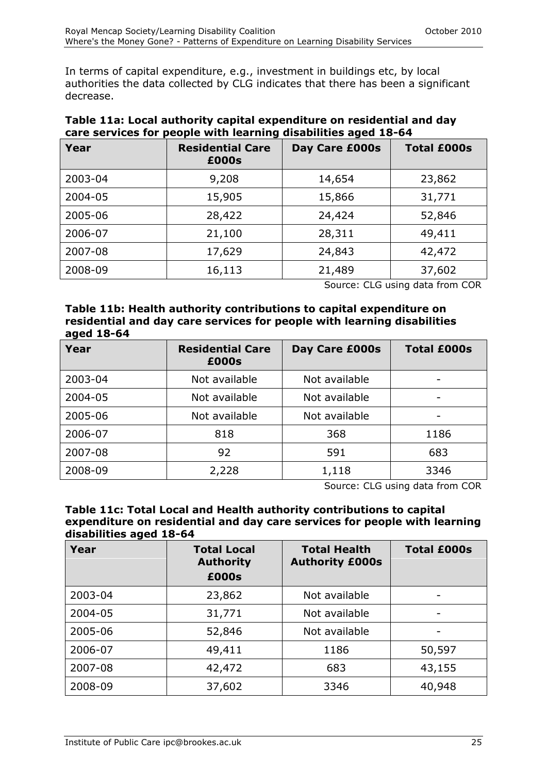In terms of capital expenditure, e.g., investment in buildings etc, by local authorities the data collected by CLG indicates that there has been a significant decrease.

|         | care services for people with learning disabilities aged 16-04 |                |                    |
|---------|----------------------------------------------------------------|----------------|--------------------|
| Year    | <b>Residential Care</b><br>£000s                               | Day Care £000s | <b>Total £000s</b> |
| 2003-04 | 9,208                                                          | 14,654         | 23,862             |
| 2004-05 | 15,905                                                         | 15,866         | 31,771             |
| 2005-06 | 28,422                                                         | 24,424         | 52,846             |
| 2006-07 | 21,100                                                         | 28,311         | 49,411             |
| 2007-08 | 17,629                                                         | 24,843         | 42,472             |
| 2008-09 | 16,113                                                         | 21,489         | 37,602             |

#### **Table 11a: Local authority capital expenditure on residential and day care services for people with learning disabilities aged 18-64**

Source: CLG using data from COR

**Table 11b: Health authority contributions to capital expenditure on residential and day care services for people with learning disabilities aged 18-64**

| Year    | <b>Residential Care</b><br>£000s | Day Care £000s | <b>Total £000s</b> |
|---------|----------------------------------|----------------|--------------------|
| 2003-04 | Not available                    | Not available  | -                  |
| 2004-05 | Not available                    | Not available  |                    |
| 2005-06 | Not available                    | Not available  |                    |
| 2006-07 | 818                              | 368            | 1186               |
| 2007-08 | 92                               | 591            | 683                |
| 2008-09 | 2,228                            | 1,118          | 3346               |

Source: CLG using data from COR

#### **Table 11c: Total Local and Health authority contributions to capital expenditure on residential and day care services for people with learning disabilities aged 18-64**

| Year    | <b>Total Local</b><br><b>Authority</b><br>£000s | <b>Total Health</b><br><b>Authority £000s</b> | <b>Total £000s</b> |
|---------|-------------------------------------------------|-----------------------------------------------|--------------------|
| 2003-04 | 23,862                                          | Not available                                 | ۰                  |
| 2004-05 | 31,771                                          | Not available                                 |                    |
| 2005-06 | 52,846                                          | Not available                                 |                    |
| 2006-07 | 49,411                                          | 1186                                          | 50,597             |
| 2007-08 | 42,472                                          | 683                                           | 43,155             |
| 2008-09 | 37,602                                          | 3346                                          | 40,948             |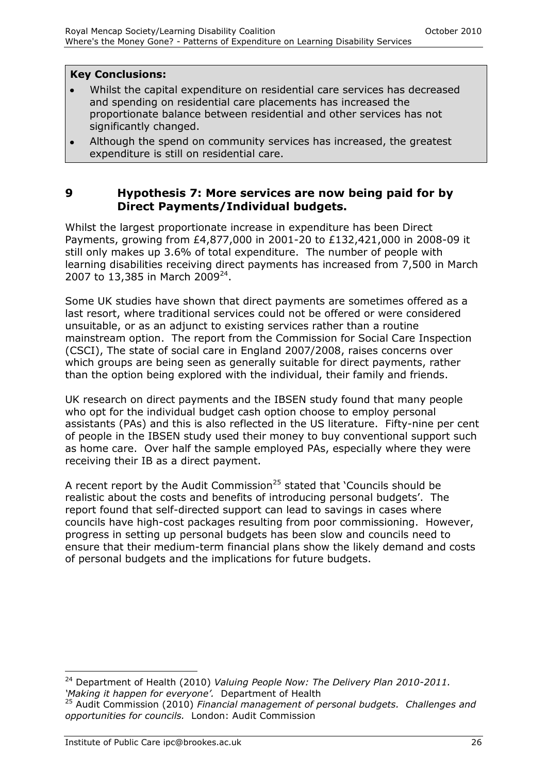#### **Key Conclusions:**

- Whilst the capital expenditure on residential care services has decreased and spending on residential care placements has increased the proportionate balance between residential and other services has not significantly changed.
- Although the spend on community services has increased, the greatest expenditure is still on residential care.

#### **9 Hypothesis 7: More services are now being paid for by Direct Payments/Individual budgets.**

Whilst the largest proportionate increase in expenditure has been Direct Payments, growing from £4,877,000 in 2001-20 to £132,421,000 in 2008-09 it still only makes up 3.6% of total expenditure. The number of people with learning disabilities receiving direct payments has increased from 7,500 in March 2007 to 13,385 in March 2009<sup>24</sup>.

Some UK studies have shown that direct payments are sometimes offered as a last resort, where traditional services could not be offered or were considered unsuitable, or as an adjunct to existing services rather than a routine mainstream option. The report from the Commission for Social Care Inspection (CSCI), The state of social care in England 2007/2008, raises concerns over which groups are being seen as generally suitable for direct payments, rather than the option being explored with the individual, their family and friends.

UK research on direct payments and the IBSEN study found that many people who opt for the individual budget cash option choose to employ personal assistants (PAs) and this is also reflected in the US literature. Fifty-nine per cent of people in the IBSEN study used their money to buy conventional support such as home care. Over half the sample employed PAs, especially where they were receiving their IB as a direct payment.

A recent report by the Audit Commission<sup>25</sup> stated that 'Councils should be realistic about the costs and benefits of introducing personal budgets'. The report found that self-directed support can lead to savings in cases where councils have high-cost packages resulting from poor commissioning. However, progress in setting up personal budgets has been slow and councils need to ensure that their medium-term financial plans show the likely demand and costs of personal budgets and the implications for future budgets.

 $\overline{a}$ 

<sup>24</sup> Department of Health (2010) *Valuing People Now: The Delivery Plan 2010-2011. "Making it happen for everyone".* Department of Health

<sup>25</sup> Audit Commission (2010) *Financial management of personal budgets. Challenges and opportunities for councils.* London: Audit Commission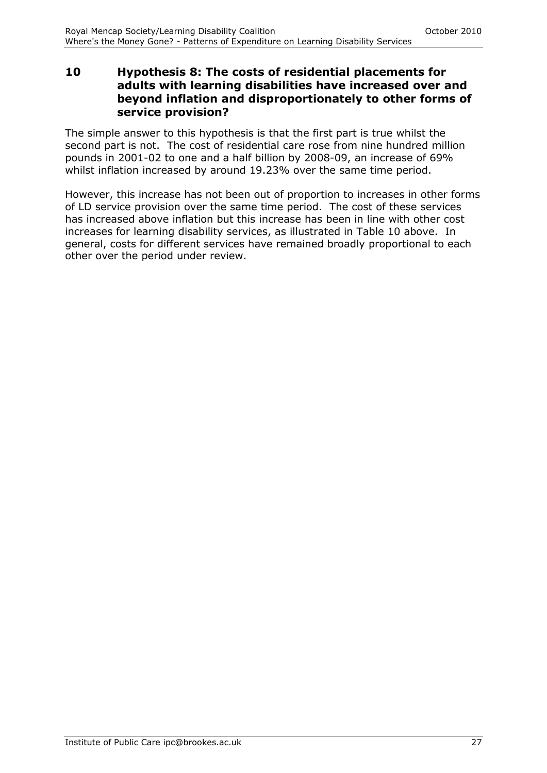#### **10 Hypothesis 8: The costs of residential placements for adults with learning disabilities have increased over and beyond inflation and disproportionately to other forms of service provision?**

The simple answer to this hypothesis is that the first part is true whilst the second part is not. The cost of residential care rose from nine hundred million pounds in 2001-02 to one and a half billion by 2008-09, an increase of 69% whilst inflation increased by around 19.23% over the same time period.

However, this increase has not been out of proportion to increases in other forms of LD service provision over the same time period. The cost of these services has increased above inflation but this increase has been in line with other cost increases for learning disability services, as illustrated in Table 10 above. In general, costs for different services have remained broadly proportional to each other over the period under review.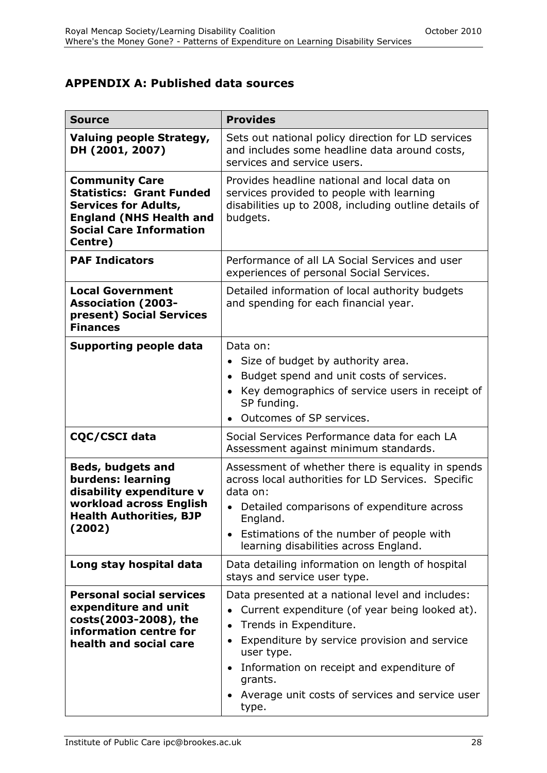## **APPENDIX A: Published data sources**

| <b>Source</b>                                                                                                                                                          | <b>Provides</b>                                                                                                                                                                                                                                                                                                |
|------------------------------------------------------------------------------------------------------------------------------------------------------------------------|----------------------------------------------------------------------------------------------------------------------------------------------------------------------------------------------------------------------------------------------------------------------------------------------------------------|
| Valuing people Strategy,<br>DH (2001, 2007)                                                                                                                            | Sets out national policy direction for LD services<br>and includes some headline data around costs,<br>services and service users.                                                                                                                                                                             |
| <b>Community Care</b><br><b>Statistics: Grant Funded</b><br><b>Services for Adults,</b><br><b>England (NHS Health and</b><br><b>Social Care Information</b><br>Centre) | Provides headline national and local data on<br>services provided to people with learning<br>disabilities up to 2008, including outline details of<br>budgets.                                                                                                                                                 |
| <b>PAF Indicators</b>                                                                                                                                                  | Performance of all LA Social Services and user<br>experiences of personal Social Services.                                                                                                                                                                                                                     |
| <b>Local Government</b><br><b>Association (2003-</b><br>present) Social Services<br><b>Finances</b>                                                                    | Detailed information of local authority budgets<br>and spending for each financial year.                                                                                                                                                                                                                       |
| <b>Supporting people data</b>                                                                                                                                          | Data on:<br>Size of budget by authority area.<br>Budget spend and unit costs of services.<br>Key demographics of service users in receipt of<br>SP funding.<br>Outcomes of SP services.                                                                                                                        |
| CQC/CSCI data                                                                                                                                                          | Social Services Performance data for each LA<br>Assessment against minimum standards.                                                                                                                                                                                                                          |
| <b>Beds, budgets and</b><br>burdens: learning<br>disability expenditure v<br>workload across English<br><b>Health Authorities, BJP</b><br>(2002)                       | Assessment of whether there is equality in spends<br>across local authorities for LD Services. Specific<br>data on:<br>Detailed comparisons of expenditure across<br>England.<br>• Estimations of the number of people with<br>learning disabilities across England.                                           |
| Long stay hospital data                                                                                                                                                | Data detailing information on length of hospital<br>stays and service user type.                                                                                                                                                                                                                               |
| <b>Personal social services</b><br>expenditure and unit<br>costs(2003-2008), the<br>information centre for<br>health and social care                                   | Data presented at a national level and includes:<br>Current expenditure (of year being looked at).<br>Trends in Expenditure.<br>Expenditure by service provision and service<br>user type.<br>Information on receipt and expenditure of<br>grants.<br>Average unit costs of services and service user<br>type. |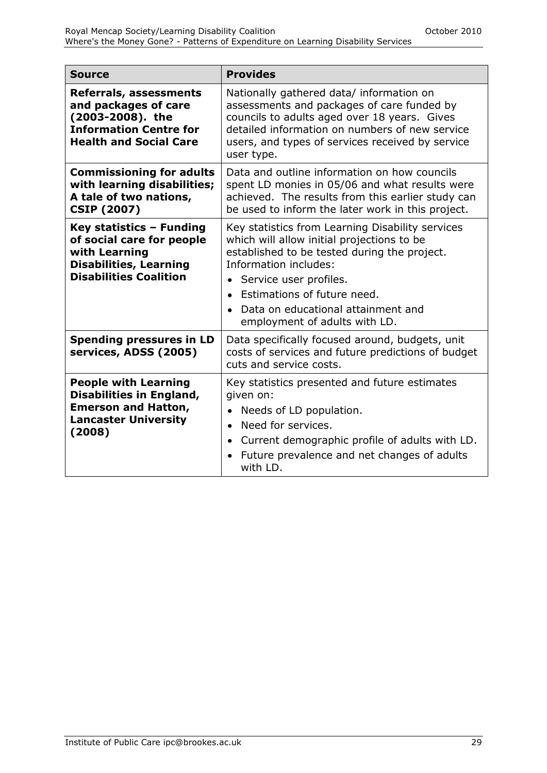| <b>Source</b>                                                                                                                               | <b>Provides</b>                                                                                                                                                                                                                                                                                         |
|---------------------------------------------------------------------------------------------------------------------------------------------|---------------------------------------------------------------------------------------------------------------------------------------------------------------------------------------------------------------------------------------------------------------------------------------------------------|
| <b>Referrals, assessments</b><br>and packages of care<br>(2003-2008). the<br><b>Information Centre for</b><br><b>Health and Social Care</b> | Nationally gathered data/ information on<br>assessments and packages of care funded by<br>councils to adults aged over 18 years. Gives<br>detailed information on numbers of new service<br>users, and types of services received by service<br>user type.                                              |
| <b>Commissioning for adults</b><br>with learning disabilities;<br>A tale of two nations,<br><b>CSIP (2007)</b>                              | Data and outline information on how councils<br>spent LD monies in 05/06 and what results were<br>achieved. The results from this earlier study can<br>be used to inform the later work in this project.                                                                                                |
| Key statistics - Funding<br>of social care for people<br>with Learning<br><b>Disabilities, Learning</b><br><b>Disabilities Coalition</b>    | Key statistics from Learning Disability services<br>which will allow initial projections to be<br>established to be tested during the project.<br>Information includes:<br>Service user profiles.<br>Estimations of future need.<br>Data on educational attainment and<br>employment of adults with LD. |
| <b>Spending pressures in LD</b><br>services, ADSS (2005)                                                                                    | Data specifically focused around, budgets, unit<br>costs of services and future predictions of budget<br>cuts and service costs.                                                                                                                                                                        |
| <b>People with Learning</b><br><b>Disabilities in England,</b><br><b>Emerson and Hatton,</b><br><b>Lancaster University</b><br>(2008)       | Key statistics presented and future estimates<br>given on:<br>Needs of LD population.<br>Need for services.<br>$\bullet$<br>Current demographic profile of adults with LD.<br>$\bullet$<br>Future prevalence and net changes of adults<br>with LD.                                                      |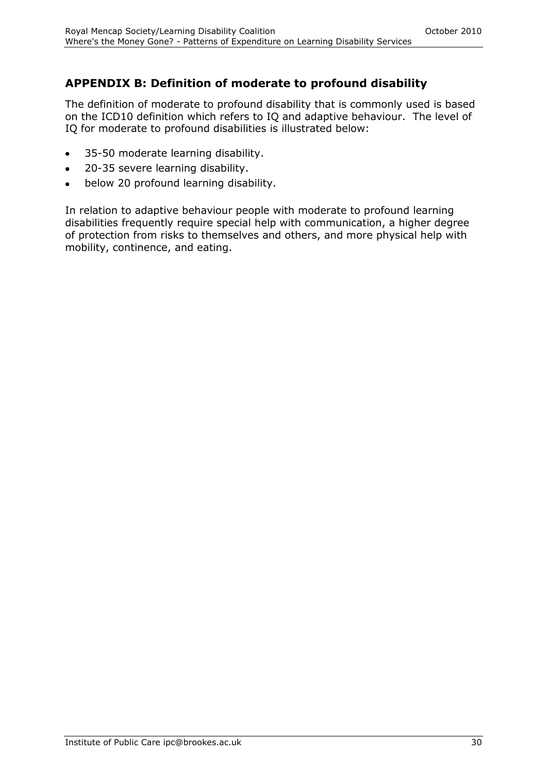# **APPENDIX B: Definition of moderate to profound disability**

The definition of moderate to profound disability that is commonly used is based on the ICD10 definition which refers to IQ and adaptive behaviour. The level of IQ for moderate to profound disabilities is illustrated below:

- 35-50 moderate learning disability.  $\bullet$
- 20-35 severe learning disability.  $\bullet$
- below 20 profound learning disability.  $\bullet$

In relation to adaptive behaviour people with moderate to profound learning disabilities frequently require special help with communication, a higher degree of protection from risks to themselves and others, and more physical help with mobility, continence, and eating.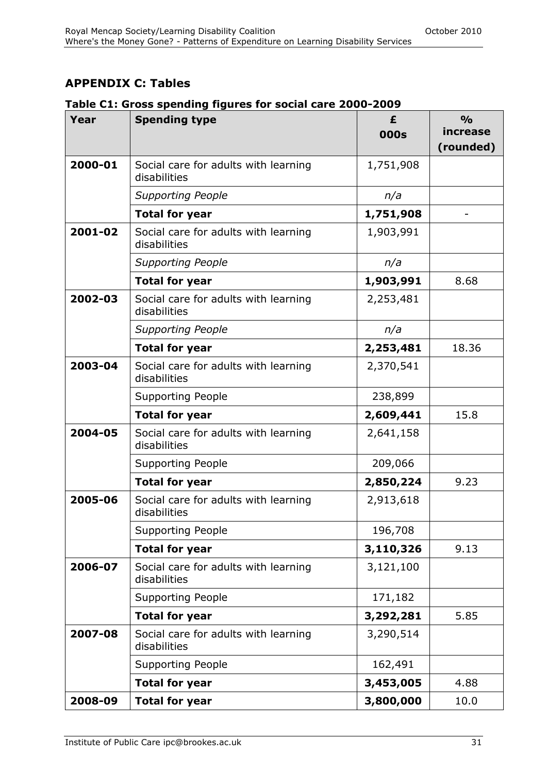# **APPENDIX C: Tables**

| Table C1: Gross spending figures for social care 2000-2009 |
|------------------------------------------------------------|
|------------------------------------------------------------|

| Year    | <b>Spending type</b>                                 | £         | $\frac{0}{0}$ |
|---------|------------------------------------------------------|-----------|---------------|
|         |                                                      | 000s      | increase      |
|         |                                                      |           | (rounded)     |
| 2000-01 | Social care for adults with learning<br>disabilities | 1,751,908 |               |
|         | <b>Supporting People</b>                             | n/a       |               |
|         | <b>Total for year</b>                                | 1,751,908 |               |
| 2001-02 | Social care for adults with learning<br>disabilities | 1,903,991 |               |
|         | <b>Supporting People</b>                             | n/a       |               |
|         | <b>Total for year</b>                                | 1,903,991 | 8.68          |
| 2002-03 | Social care for adults with learning<br>disabilities | 2,253,481 |               |
|         | <b>Supporting People</b>                             | n/a       |               |
|         | <b>Total for year</b>                                | 2,253,481 | 18.36         |
| 2003-04 | Social care for adults with learning<br>disabilities | 2,370,541 |               |
|         | <b>Supporting People</b>                             | 238,899   |               |
|         | <b>Total for year</b>                                | 2,609,441 | 15.8          |
| 2004-05 | Social care for adults with learning<br>disabilities | 2,641,158 |               |
|         | <b>Supporting People</b>                             | 209,066   |               |
|         | <b>Total for year</b>                                | 2,850,224 | 9.23          |
| 2005-06 | Social care for adults with learning<br>disabilities | 2,913,618 |               |
|         | <b>Supporting People</b>                             | 196,708   |               |
|         | <b>Total for year</b>                                | 3,110,326 | 9.13          |
| 2006-07 | Social care for adults with learning<br>disabilities | 3,121,100 |               |
|         | <b>Supporting People</b>                             | 171,182   |               |
|         | <b>Total for year</b>                                | 3,292,281 | 5.85          |
| 2007-08 | Social care for adults with learning<br>disabilities | 3,290,514 |               |
|         | <b>Supporting People</b>                             | 162,491   |               |
|         | <b>Total for year</b>                                | 3,453,005 | 4.88          |
| 2008-09 | <b>Total for year</b>                                | 3,800,000 | 10.0          |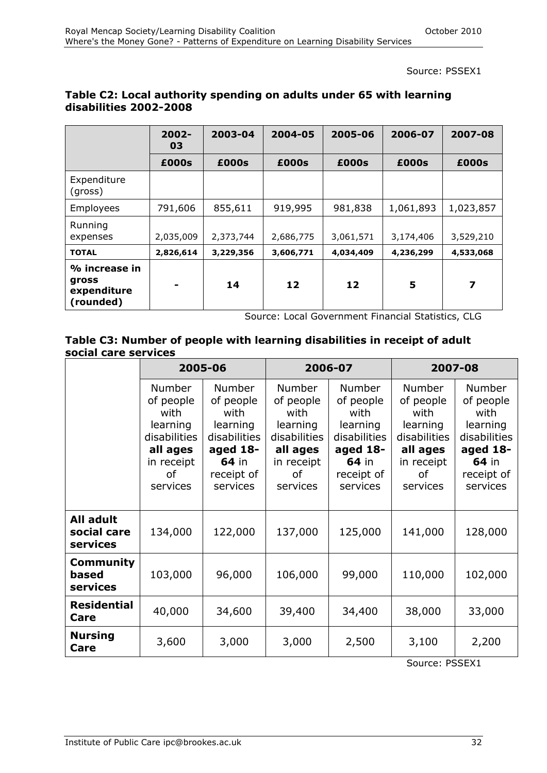Source: PSSEX1

|                                                    | $2002 -$<br>03 | 2003-04   | 2004-05   | 2005-06   | 2006-07   | 2007-08   |
|----------------------------------------------------|----------------|-----------|-----------|-----------|-----------|-----------|
|                                                    | £000s          | £000s     | £000s     | £000s     | £000s     | £000s     |
| Expenditure<br>(gross)                             |                |           |           |           |           |           |
| <b>Employees</b>                                   | 791,606        | 855,611   | 919,995   | 981,838   | 1,061,893 | 1,023,857 |
| Running<br>expenses                                | 2,035,009      | 2,373,744 | 2,686,775 | 3,061,571 | 3,174,406 | 3,529,210 |
| <b>TOTAL</b>                                       | 2,826,614      | 3,229,356 | 3,606,771 | 4,034,409 | 4,236,299 | 4,533,068 |
| % increase in<br>gross<br>expenditure<br>(rounded) |                | 14        | 12        | 12        | 5         | 7         |

#### **Table C2: Local authority spending on adults under 65 with learning disabilities 2002-2008**

Source: Local Government Financial Statistics, CLG

#### **Table C3: Number of people with learning disabilities in receipt of adult social care services**

|                                       | 2005-06                                                                                             |                                                                                                               | 2006-07                                                                                                    |                                                                                                               | 2007-08                                                                                                    |                                                                                                        |
|---------------------------------------|-----------------------------------------------------------------------------------------------------|---------------------------------------------------------------------------------------------------------------|------------------------------------------------------------------------------------------------------------|---------------------------------------------------------------------------------------------------------------|------------------------------------------------------------------------------------------------------------|--------------------------------------------------------------------------------------------------------|
|                                       | Number<br>of people<br>with<br>learning<br>disabilities<br>all ages<br>in receipt<br>οf<br>services | <b>Number</b><br>of people<br>with<br>learning<br>disabilities<br>aged 18-<br>64 in<br>receipt of<br>services | <b>Number</b><br>of people<br>with<br>learning<br>disabilities<br>all ages<br>in receipt<br>of<br>services | <b>Number</b><br>of people<br>with<br>learning<br>disabilities<br>aged 18-<br>64 in<br>receipt of<br>services | <b>Number</b><br>of people<br>with<br>learning<br>disabilities<br>all ages<br>in receipt<br>0f<br>services | Number<br>of people<br>with<br>learning<br>disabilities<br>aged 18-<br>64 in<br>receipt of<br>services |
| All adult<br>social care<br>services  | 134,000                                                                                             | 122,000                                                                                                       | 137,000                                                                                                    | 125,000                                                                                                       | 141,000                                                                                                    | 128,000                                                                                                |
| Community<br>based<br><b>services</b> | 103,000                                                                                             | 96,000                                                                                                        | 106,000                                                                                                    | 99,000                                                                                                        | 110,000                                                                                                    | 102,000                                                                                                |
| <b>Residential</b><br>Care            | 40,000                                                                                              | 34,600                                                                                                        | 39,400                                                                                                     | 34,400                                                                                                        | 38,000                                                                                                     | 33,000                                                                                                 |
| <b>Nursing</b><br>Care                | 3,600                                                                                               | 3,000                                                                                                         | 3,000                                                                                                      | 2,500                                                                                                         | 3,100                                                                                                      | 2,200                                                                                                  |

Source: PSSEX1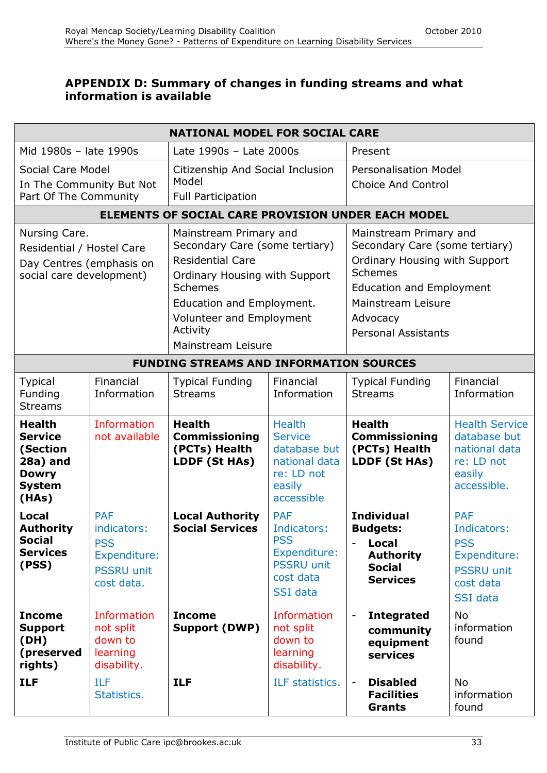#### **APPENDIX D: Summary of changes in funding streams and what information is available**

| <b>NATIONAL MODEL FOR SOCIAL CARE</b>                                                              |                                                                                            |                                                                                                                                                                                                                            |                                                                                                              |                                                                                                                                                                                                                |                                                                                                       |
|----------------------------------------------------------------------------------------------------|--------------------------------------------------------------------------------------------|----------------------------------------------------------------------------------------------------------------------------------------------------------------------------------------------------------------------------|--------------------------------------------------------------------------------------------------------------|----------------------------------------------------------------------------------------------------------------------------------------------------------------------------------------------------------------|-------------------------------------------------------------------------------------------------------|
| Mid 1980s - late 1990s                                                                             |                                                                                            | Late 1990s - Late 2000s                                                                                                                                                                                                    |                                                                                                              | Present                                                                                                                                                                                                        |                                                                                                       |
| Social Care Model                                                                                  |                                                                                            | Citizenship And Social Inclusion                                                                                                                                                                                           |                                                                                                              | <b>Personalisation Model</b>                                                                                                                                                                                   |                                                                                                       |
| In The Community But Not<br>Part Of The Community                                                  |                                                                                            | Model<br><b>Full Participation</b>                                                                                                                                                                                         |                                                                                                              | <b>Choice And Control</b>                                                                                                                                                                                      |                                                                                                       |
|                                                                                                    |                                                                                            |                                                                                                                                                                                                                            |                                                                                                              | <b>ELEMENTS OF SOCIAL CARE PROVISION UNDER EACH MODEL</b>                                                                                                                                                      |                                                                                                       |
| Nursing Care.<br>Residential / Hostel Care<br>Day Centres (emphasis on<br>social care development) |                                                                                            | Mainstream Primary and<br>Secondary Care (some tertiary)<br><b>Residential Care</b><br>Ordinary Housing with Support<br>Schemes<br>Education and Employment.<br>Volunteer and Employment<br>Activity<br>Mainstream Leisure |                                                                                                              | Mainstream Primary and<br>Secondary Care (some tertiary)<br>Ordinary Housing with Support<br><b>Schemes</b><br><b>Education and Employment</b><br>Mainstream Leisure<br>Advocacy<br><b>Personal Assistants</b> |                                                                                                       |
|                                                                                                    |                                                                                            | <b>FUNDING STREAMS AND INFORMATION SOURCES</b>                                                                                                                                                                             |                                                                                                              |                                                                                                                                                                                                                |                                                                                                       |
| <b>Typical</b><br>Funding<br><b>Streams</b>                                                        | Financial<br>Information                                                                   | <b>Typical Funding</b><br><b>Streams</b>                                                                                                                                                                                   | Financial<br>Information                                                                                     | <b>Typical Funding</b><br><b>Streams</b>                                                                                                                                                                       | Financial<br>Information                                                                              |
| <b>Health</b><br><b>Service</b><br>(Section<br>28a) and<br><b>Dowry</b><br><b>System</b><br>(HAs)  | Information<br>not available                                                               | <b>Health</b><br><b>Commissioning</b><br>(PCTs) Health<br>LDDF (St HAs)                                                                                                                                                    | <b>Health</b><br><b>Service</b><br>database but<br>national data<br>re: LD not<br>easily<br>accessible       | <b>Health</b><br><b>Commissioning</b><br>(PCTs) Health<br>LDDF (St HAs)                                                                                                                                        | <b>Health Service</b><br>database but<br>national data<br>re: LD not<br>easily<br>accessible.         |
| <b>Local</b><br><b>Authority</b><br><b>Social</b><br><b>Services</b><br>(PSS)                      | <b>PAF</b><br>indicators:<br><b>PSS</b><br>Expenditure:<br><b>PSSRU unit</b><br>cost data. | <b>Local Authority</b><br><b>Social Services</b>                                                                                                                                                                           | <b>PAF</b><br>Indicators:<br><b>PSS</b><br>Expenditure:<br><b>PSSRU unit</b><br>cost data<br><b>SSI</b> data | <b>Individual</b><br><b>Budgets:</b><br><b>Local</b><br>$\overline{\phantom{a}}$<br><b>Authority</b><br><b>Social</b><br><b>Services</b>                                                                       | <b>PAF</b><br>Indicators:<br><b>PSS</b><br>Expenditure:<br><b>PSSRU unit</b><br>cost data<br>SSI data |
| <b>Income</b><br><b>Support</b><br>(DH)<br>(preserved<br>rights)                                   | Information<br>not split<br>down to<br>learning<br>disability.                             | <b>Income</b><br>Support (DWP)                                                                                                                                                                                             | <b>Information</b><br>not split<br>down to<br>learning<br>disability.                                        | <b>Integrated</b><br>$\blacksquare$<br>community<br>equipment<br>services                                                                                                                                      | <b>No</b><br>information<br>found                                                                     |
| <b>ILF</b>                                                                                         | <b>ILF</b><br>Statistics.                                                                  | <b>ILF</b>                                                                                                                                                                                                                 | ILF statistics.                                                                                              | <b>Disabled</b><br><b>Facilities</b><br><b>Grants</b>                                                                                                                                                          | <b>No</b><br>information<br>found                                                                     |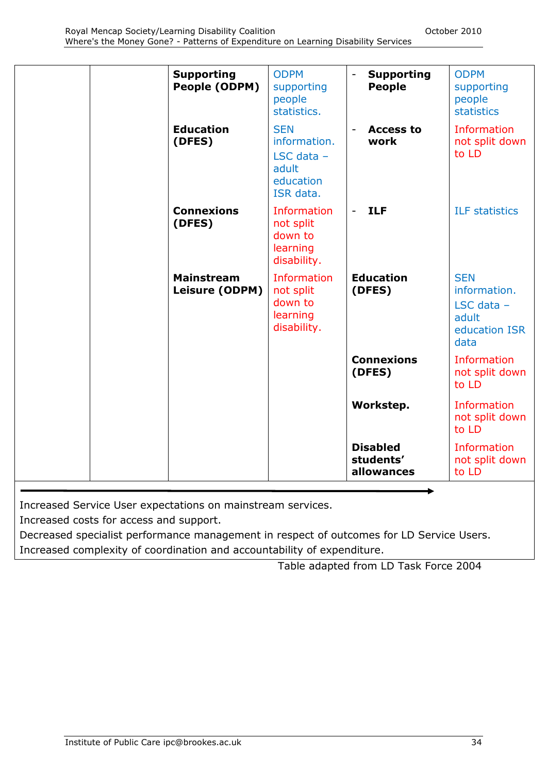| <b>Supporting</b><br>People (ODPM)  | <b>ODPM</b><br>supporting<br>people<br>statistics.                            | <b>Supporting</b><br><b>People</b>         | <b>ODPM</b><br>supporting<br>people<br>statistics                            |
|-------------------------------------|-------------------------------------------------------------------------------|--------------------------------------------|------------------------------------------------------------------------------|
| <b>Education</b><br>(DFES)          | <b>SEN</b><br>information.<br>LSC data $-$<br>adult<br>education<br>ISR data. | <b>Access to</b><br>$\blacksquare$<br>work | Information<br>not split down<br>to LD                                       |
| <b>Connexions</b><br>(DFES)         | Information<br>not split<br>down to<br>learning<br>disability.                | <b>ILF</b><br>$\sim$ 10 $\pm$              | <b>ILF</b> statistics                                                        |
| <b>Mainstream</b><br>Leisure (ODPM) | Information<br>not split<br>down to<br>learning<br>disability.                | <b>Education</b><br>(DFES)                 | <b>SEN</b><br>information.<br>LSC data $-$<br>adult<br>education ISR<br>data |
|                                     |                                                                               | <b>Connexions</b><br>(DFES)                | Information<br>not split down<br>to LD                                       |
|                                     |                                                                               | Workstep.                                  | Information<br>not split down<br>to LD                                       |
|                                     |                                                                               | <b>Disabled</b><br>students'<br>allowances | Information<br>not split down<br>to LD                                       |

Increased Service User expectations on mainstream services.

Increased costs for access and support.

Decreased specialist performance management in respect of outcomes for LD Service Users. Increased complexity of coordination and accountability of expenditure.

Table adapted from LD Task Force 2004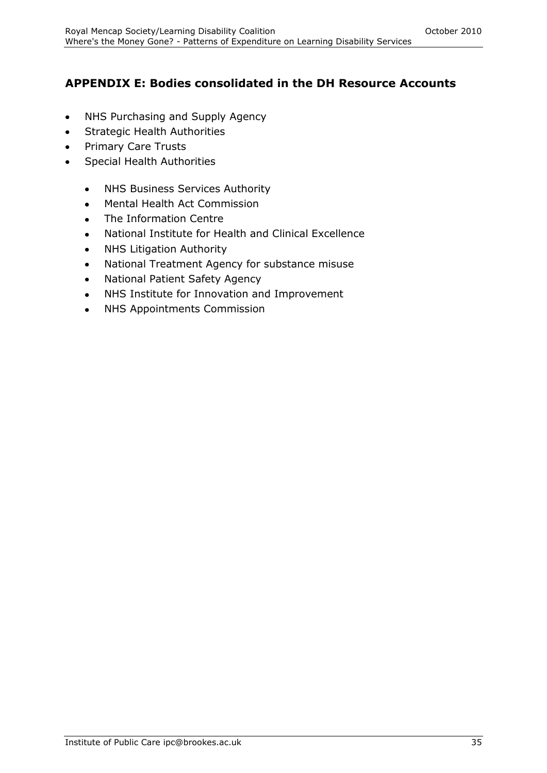# **APPENDIX E: Bodies consolidated in the DH Resource Accounts**

- NHS Purchasing and Supply Agency  $\bullet$
- Strategic Health Authorities  $\bullet$
- Primary Care Trusts  $\bullet$
- Special Health Authorities  $\bullet$ 
	- NHS Business Services Authority  $\bullet$
	- Mental Health Act Commission  $\bullet$
	- The Information Centre  $\bullet$
	- National Institute for Health and Clinical Excellence  $\bullet$
	- NHS Litigation Authority  $\bullet$
	- National Treatment Agency for substance misuse  $\bullet$
	- National Patient Safety Agency
	- NHS Institute for Innovation and Improvement
	- NHS Appointments Commission $\bullet$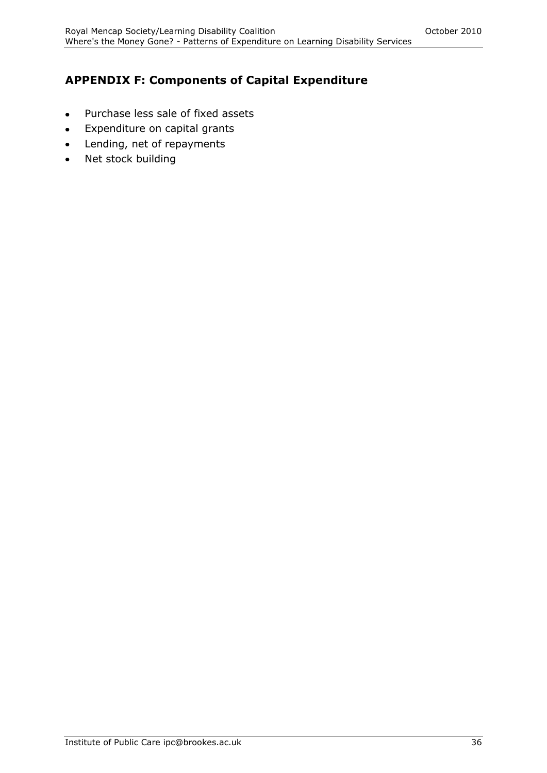# **APPENDIX F: Components of Capital Expenditure**

- Purchase less sale of fixed assets  $\bullet$
- Expenditure on capital grants  $\bullet$
- Lending, net of repayments  $\bullet$
- Net stock building $\bullet$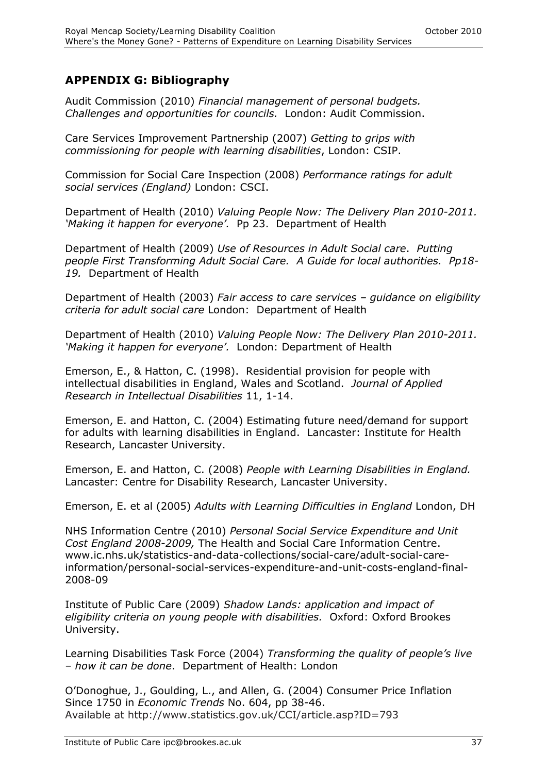### **APPENDIX G: Bibliography**

Audit Commission (2010) *Financial management of personal budgets. Challenges and opportunities for councils.* London: Audit Commission.

Care Services Improvement Partnership (2007) *Getting to grips with commissioning for people with learning disabilities*, London: CSIP.

Commission for Social Care Inspection (2008) *Performance ratings for adult social services (England)* London: CSCI.

Department of Health (2010) *Valuing People Now: The Delivery Plan 2010-2011. "Making it happen for everyone".* Pp 23. Department of Health

Department of Health (2009) *Use of Resources in Adult Social care*. *Putting people First Transforming Adult Social Care. A Guide for local authorities. Pp18- 19.* Department of Health

Department of Health (2003) *Fair access to care services – guidance on eligibility criteria for adult social care* London: Department of Health

Department of Health (2010) *Valuing People Now: The Delivery Plan 2010-2011. "Making it happen for everyone".* London: Department of Health

Emerson, E., & Hatton, C. (1998). Residential provision for people with intellectual disabilities in England, Wales and Scotland. *Journal of Applied Research in Intellectual Disabilities* 11, 1-14.

Emerson, E. and Hatton, C. (2004) Estimating future need/demand for support for adults with learning disabilities in England. Lancaster: Institute for Health Research, Lancaster University.

Emerson, E. and Hatton, C. (2008) *People with Learning Disabilities in England.*  Lancaster: Centre for Disability Research, Lancaster University.

Emerson, E. et al (2005) *Adults with Learning Difficulties in England* London, DH

NHS Information Centre (2010) *Personal Social Service Expenditure and Unit Cost England 2008-2009,* The Health and Social Care Information Centre. www.ic.nhs.uk/statistics-and-data-collections/social-care/adult-social-careinformation/personal-social-services-expenditure-and-unit-costs-england-final-2008-09

Institute of Public Care (2009) *Shadow Lands: application and impact of eligibility criteria on young people with disabilities.* Oxford: Oxford Brookes University.

Learning Disabilities Task Force (2004) *Transforming the quality of people"s live – how it can be done*. Department of Health: London

O'Donoghue, J., Goulding, L., and Allen, G. (2004) Consumer Price Inflation Since 1750 in *Economic Trends* No. 604, pp 38-46. Available at http://www.statistics.gov.uk/CCI/article.asp?ID=793